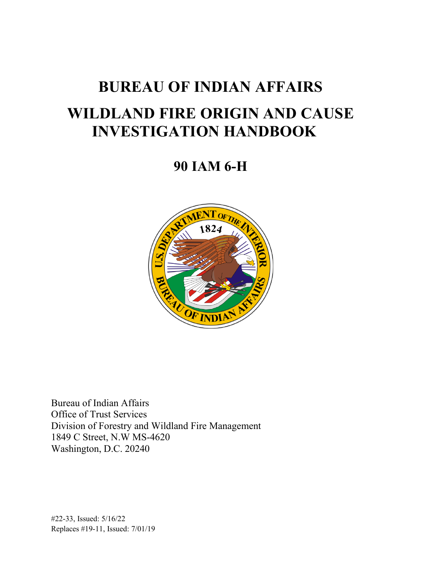# **BUREAU OF INDIAN AFFAIRS WILDLAND FIRE ORIGIN AND CAUSE INVESTIGATION HANDBOOK**

 **90 IAM 6-H** 



Bureau of Indian Affairs Office of Trust Services Division of Forestry and Wildland Fire Management 1849 C Street, N.W MS-4620 Washington, D.C. 20240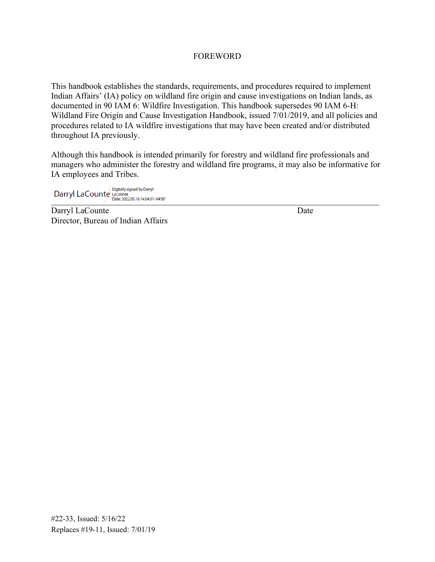#### FOREWORD

This handbook establishes the standards, requirements, and procedures required to implement Indian Affairs' (IA) policy on wildland fire origin and cause investigations on Indian lands, as documented in 90 IAM 6: Wildfire Investigation. This handbook supersedes 90 IAM 6-H: Wildland Fire Origin and Cause Investigation Handbook, issued 7/01/2019, and all policies and procedures related to IA wildfire investigations that may have been created and/or distributed throughout IA previously.

Although this handbook is intended primarily for forestry and wildland fire professionals and managers who administer the forestry and wildland fire programs, it may also be informative for IA employees and Tribes.

Digitally signed by Darryl<br>Darryl LaCounte LaCounte<br>Date: 2022.05.16 14:04:01 -04:00

Darryl LaCounte Date Director, Bureau of Indian Affairs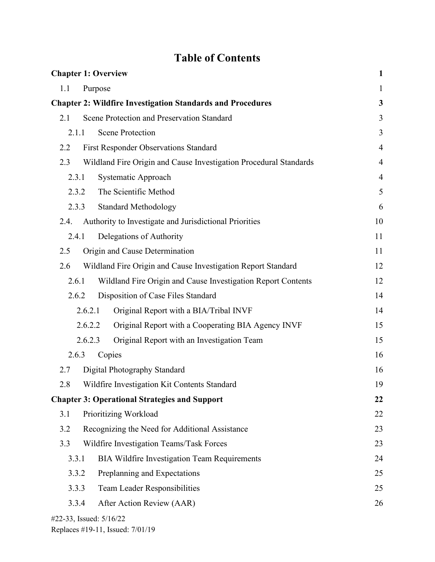## **Table of Contents**

| <b>Chapter 1: Overview</b>                                               | $\mathbf{1}$   |
|--------------------------------------------------------------------------|----------------|
| 1.1<br>Purpose                                                           | $\mathbf{1}$   |
| <b>Chapter 2: Wildfire Investigation Standards and Procedures</b>        | 3              |
| Scene Protection and Preservation Standard<br>2.1                        | 3              |
| <b>Scene Protection</b><br>2.1.1                                         | 3              |
| 2.2<br><b>First Responder Observations Standard</b>                      | $\overline{4}$ |
| Wildland Fire Origin and Cause Investigation Procedural Standards<br>2.3 | $\overline{4}$ |
| Systematic Approach<br>2.3.1                                             | $\overline{4}$ |
| The Scientific Method<br>2.3.2                                           | 5              |
| <b>Standard Methodology</b><br>2.3.3                                     | 6              |
| Authority to Investigate and Jurisdictional Priorities<br>2.4.           | 10             |
| Delegations of Authority<br>2.4.1                                        | 11             |
| Origin and Cause Determination<br>2.5                                    | 11             |
| 2.6<br>Wildland Fire Origin and Cause Investigation Report Standard      | 12             |
| Wildland Fire Origin and Cause Investigation Report Contents<br>2.6.1    | 12             |
| Disposition of Case Files Standard<br>2.6.2                              | 14             |
| 2.6.2.1<br>Original Report with a BIA/Tribal INVF                        | 14             |
| 2.6.2.2<br>Original Report with a Cooperating BIA Agency INVF            | 15             |
| 2.6.2.3<br>Original Report with an Investigation Team                    | 15             |
| 2.6.3<br>Copies                                                          | 16             |
| Digital Photography Standard<br>2.7                                      | 16             |
| Wildfire Investigation Kit Contents Standard<br>2.8                      | 19             |
| <b>Chapter 3: Operational Strategies and Support</b>                     | 22             |
| Prioritizing Workload<br>3.1                                             | 22             |
| 3.2<br>Recognizing the Need for Additional Assistance                    | 23             |
| 3.3<br>Wildfire Investigation Teams/Task Forces                          | 23             |
| 3.3.1<br><b>BIA Wildfire Investigation Team Requirements</b>             | 24             |
| 3.3.2<br>Preplanning and Expectations                                    | 25             |
| 3.3.3<br><b>Team Leader Responsibilities</b>                             | 25             |
| 3.3.4<br>After Action Review (AAR)                                       | 26             |
| #22-33, Issued: 5/16/22                                                  |                |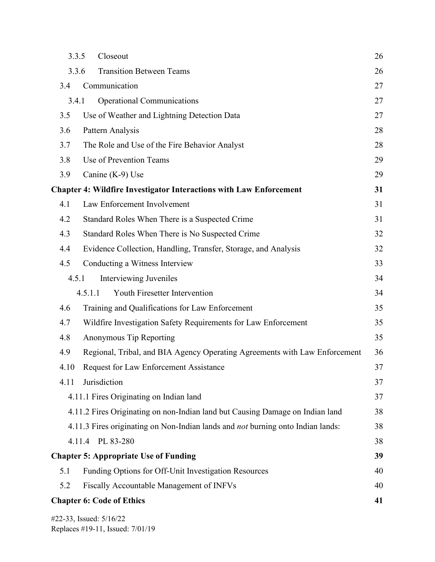| 3.3.5 | Closeout                                                                               | 26 |  |  |  |
|-------|----------------------------------------------------------------------------------------|----|--|--|--|
| 3.3.6 | <b>Transition Between Teams</b>                                                        | 26 |  |  |  |
| 3.4   | Communication                                                                          | 27 |  |  |  |
| 3.4.1 | <b>Operational Communications</b>                                                      | 27 |  |  |  |
| 3.5   | Use of Weather and Lightning Detection Data                                            | 27 |  |  |  |
| 3.6   | Pattern Analysis                                                                       | 28 |  |  |  |
| 3.7   | The Role and Use of the Fire Behavior Analyst                                          | 28 |  |  |  |
| 3.8   | Use of Prevention Teams                                                                | 29 |  |  |  |
| 3.9   | Canine (K-9) Use                                                                       | 29 |  |  |  |
|       | <b>Chapter 4: Wildfire Investigator Interactions with Law Enforcement</b>              | 31 |  |  |  |
| 4.1   | Law Enforcement Involvement                                                            | 31 |  |  |  |
| 4.2   | Standard Roles When There is a Suspected Crime                                         | 31 |  |  |  |
| 4.3   | Standard Roles When There is No Suspected Crime                                        | 32 |  |  |  |
| 4.4   | Evidence Collection, Handling, Transfer, Storage, and Analysis                         | 32 |  |  |  |
| 4.5   | Conducting a Witness Interview                                                         | 33 |  |  |  |
| 4.5.1 | Interviewing Juveniles                                                                 | 34 |  |  |  |
|       | Youth Firesetter Intervention<br>4.5.1.1                                               | 34 |  |  |  |
| 4.6   | Training and Qualifications for Law Enforcement                                        | 35 |  |  |  |
| 4.7   | Wildfire Investigation Safety Requirements for Law Enforcement                         | 35 |  |  |  |
| 4.8   | Anonymous Tip Reporting<br>35                                                          |    |  |  |  |
| 4.9   | Regional, Tribal, and BIA Agency Operating Agreements with Law Enforcement             | 36 |  |  |  |
| 4.10  | Request for Law Enforcement Assistance                                                 | 37 |  |  |  |
| 4.11  | Jurisdiction                                                                           | 37 |  |  |  |
|       | 4.11.1 Fires Originating on Indian land                                                | 37 |  |  |  |
|       | 4.11.2 Fires Originating on non-Indian land but Causing Damage on Indian land          | 38 |  |  |  |
|       | 4.11.3 Fires originating on Non-Indian lands and <i>not</i> burning onto Indian lands: | 38 |  |  |  |
|       | 4.11.4 PL 83-280                                                                       | 38 |  |  |  |
|       | <b>Chapter 5: Appropriate Use of Funding</b>                                           | 39 |  |  |  |
| 5.1   | Funding Options for Off-Unit Investigation Resources                                   | 40 |  |  |  |
| 5.2   | Fiscally Accountable Management of INFVs                                               | 40 |  |  |  |
|       | <b>Chapter 6: Code of Ethics</b>                                                       | 41 |  |  |  |
|       |                                                                                        |    |  |  |  |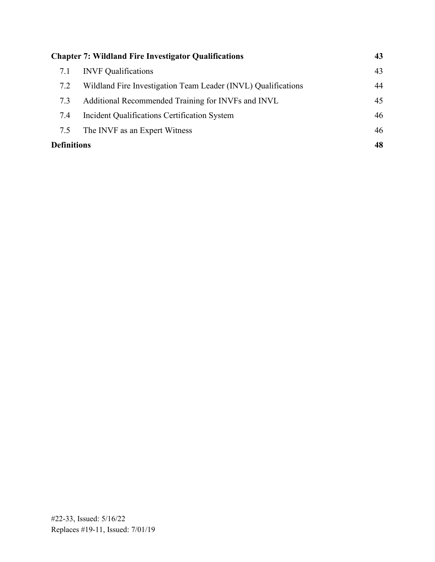| <b>Chapter 7: Wildland Fire Investigator Qualifications</b> |                                                               |    |
|-------------------------------------------------------------|---------------------------------------------------------------|----|
| 7.1                                                         | <b>INVF</b> Qualifications                                    | 43 |
| 7.2                                                         | Wildland Fire Investigation Team Leader (INVL) Qualifications | 44 |
| 7.3                                                         | Additional Recommended Training for INVFs and INVL            | 45 |
| 7.4                                                         | Incident Qualifications Certification System                  | 46 |
| 7.5                                                         | The INVF as an Expert Witness                                 | 46 |
| <b>Definitions</b>                                          |                                                               | 48 |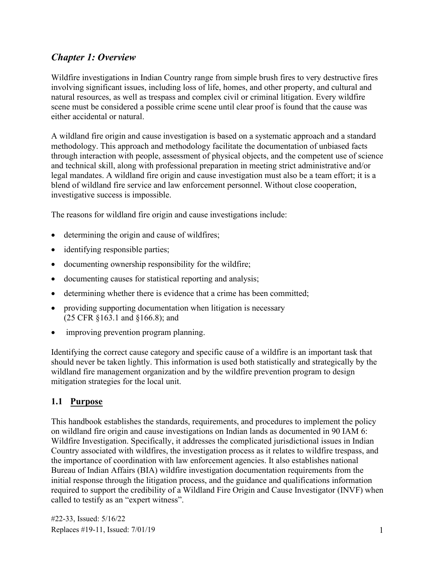## <span id="page-5-0"></span>*Chapter 1: Overview*

 Wildfire investigations in Indian Country range from simple brush fires to very destructive fires natural resources, as well as trespass and complex civil or criminal litigation. Every wildfire involving significant issues, including loss of life, homes, and other property, and cultural and scene must be considered a possible crime scene until clear proof is found that the cause was either accidental or natural.

A wildland fire origin and cause investigation is based on a systematic approach and a standard methodology. This approach and methodology facilitate the documentation of unbiased facts through interaction with people, assessment of physical objects, and the competent use of science and technical skill, along with professional preparation in meeting strict administrative and/or legal mandates. A wildland fire origin and cause investigation must also be a team effort; it is a blend of wildland fire service and law enforcement personnel. Without close cooperation, investigative success is impossible.

The reasons for wildland fire origin and cause investigations include:

- determining the origin and cause of wildfires;
- identifying responsible parties;
- documenting ownership responsibility for the wildfire;
- documenting causes for statistical reporting and analysis;
- determining whether there is evidence that a crime has been committed;
- providing supporting documentation when litigation is necessary (25 CFR §163.1 and §166.8); and
- improving prevention program planning.

 Identifying the correct cause category and specific cause of a wildfire is an important task that should never be taken lightly. This information is used both statistically and strategically by the wildland fire management organization and by the wildfire prevention program to design mitigation strategies for the local unit.

#### <span id="page-5-1"></span>**1.1 Purpose**

This handbook establishes the standards, requirements, and procedures to implement the policy on wildland fire origin and cause investigations on Indian lands as documented in 90 IAM 6: Wildfire Investigation. Specifically, it addresses the complicated jurisdictional issues in Indian Country associated with wildfires, the investigation process as it relates to wildfire trespass, and the importance of coordination with law enforcement agencies. It also establishes national Bureau of Indian Affairs (BIA) wildfire investigation documentation requirements from the initial response through the litigation process, and the guidance and qualifications information required to support the credibility of a Wildland Fire Origin and Cause Investigator (INVF) when called to testify as an "expert witness".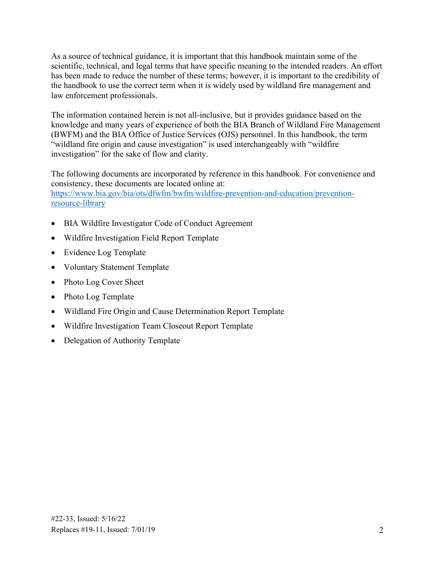scientific, technical, and legal terms that have specific meaning to the intended readers. An effort As a source of technical guidance, it is important that this handbook maintain some of the has been made to reduce the number of these terms; however, it is important to the credibility of the handbook to use the correct term when it is widely used by wildland fire management and law enforcement professionals.

The information contained herein is not all-inclusive, but it provides guidance based on the knowledge and many years of experience of both the BIA Branch of Wildland Fire Management (BWFM) and the BIA Office of Justice Services (OJS) personnel. In this handbook, the term "wildland fire origin and cause investigation" is used interchangeably with "wildfire investigation" for the sake of flow and clarity.

consistency, these documents are located online at: The following documents are incorporated by reference in this handbook. For convenience and https://www.bia.gov/bia/ots/dfwfm/bwfm/wildfire-prevention-and-education/prevention[resource-library](https://www.bia.gov/bia/ots/dfwfm/bwfm/wildfire-prevention-and-education/prevention-resource-library) 

- BIA Wildfire Investigator Code of Conduct Agreement
- Wildfire Investigation Field Report Template
- Evidence Log Template
- Voluntary Statement Template
- Photo Log Cover Sheet
- Photo Log Template
- Wildland Fire Origin and Cause Determination Report Template
- Wildfire Investigation Team Closeout Report Template
- Delegation of Authority Template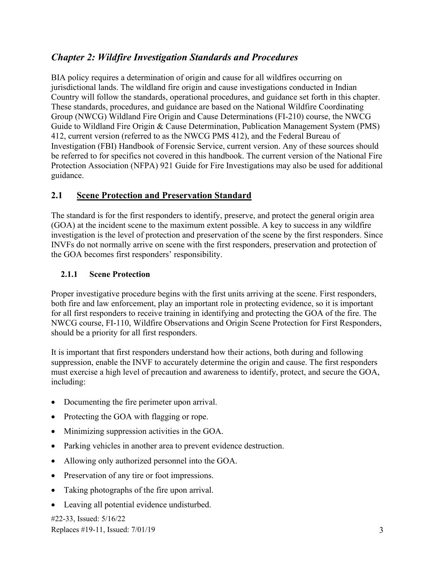### <span id="page-7-0"></span>*Chapter 2: Wildfire Investigation Standards and Procedures*

 Protection Association (NFPA) 921 Guide for Fire Investigations may also be used for additional BIA policy requires a determination of origin and cause for all wildfires occurring on jurisdictional lands. The wildland fire origin and cause investigations conducted in Indian Country will follow the standards, operational procedures, and guidance set forth in this chapter. These standards, procedures, and guidance are based on the National Wildfire Coordinating Group (NWCG) Wildland Fire Origin and Cause Determinations (FI-210) course, the NWCG Guide to Wildland Fire Origin & Cause Determination, Publication Management System (PMS) 412, current version (referred to as the NWCG PMS 412), and the Federal Bureau of Investigation (FBI) Handbook of Forensic Service, current version. Any of these sources should be referred to for specifics not covered in this handbook. The current version of the National Fire guidance.

#### <span id="page-7-1"></span>**2.1 Scene Protection and Preservation Standard**

The standard is for the first responders to identify, preserve, and protect the general origin area (GOA) at the incident scene to the maximum extent possible. A key to success in any wildfire investigation is the level of protection and preservation of the scene by the first responders. Since INVFs do not normally arrive on scene with the first responders, preservation and protection of the GOA becomes first responders' responsibility.

#### <span id="page-7-2"></span>**2.1.1 Scene Protection**

Proper investigative procedure begins with the first units arriving at the scene. First responders, both fire and law enforcement, play an important role in protecting evidence, so it is important for all first responders to receive training in identifying and protecting the GOA of the fire. The NWCG course, FI-110, Wildfire Observations and Origin Scene Protection for First Responders, should be a priority for all first responders.

It is important that first responders understand how their actions, both during and following suppression, enable the INVF to accurately determine the origin and cause. The first responders must exercise a high level of precaution and awareness to identify, protect, and secure the GOA, including:

- Documenting the fire perimeter upon arrival.
- Protecting the GOA with flagging or rope.
- Minimizing suppression activities in the GOA.
- Parking vehicles in another area to prevent evidence destruction.
- Allowing only authorized personnel into the GOA.
- Preservation of any tire or foot impressions.
- Taking photographs of the fire upon arrival.
- Leaving all potential evidence undisturbed.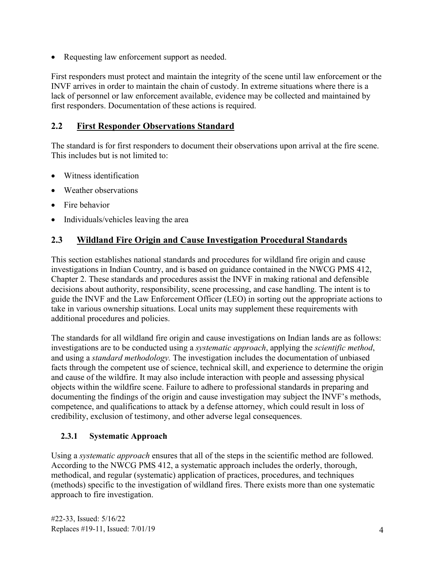• Requesting law enforcement support as needed.

 lack of personnel or law enforcement available, evidence may be collected and maintained by First responders must protect and maintain the integrity of the scene until law enforcement or the INVF arrives in order to maintain the chain of custody. In extreme situations where there is a first responders. Documentation of these actions is required.

#### <span id="page-8-0"></span>**2.2 First Responder Observations Standard**

The standard is for first responders to document their observations upon arrival at the fire scene. This includes but is not limited to:

- Witness identification
- Weather observations
- Fire behavior
- Individuals/vehicles leaving the area

#### <span id="page-8-1"></span>**2.3 Wildland Fire Origin and Cause Investigation Procedural Standards**

This section establishes national standards and procedures for wildland fire origin and cause investigations in Indian Country, and is based on guidance contained in the NWCG PMS 412, Chapter 2. These standards and procedures assist the INVF in making rational and defensible decisions about authority, responsibility, scene processing, and case handling. The intent is to guide the INVF and the Law Enforcement Officer (LEO) in sorting out the appropriate actions to take in various ownership situations. Local units may supplement these requirements with additional procedures and policies.

The standards for all wildland fire origin and cause investigations on Indian lands are as follows: investigations are to be conducted using a *systematic approach*, applying the *scientific method*, and using a *standard methodology.* The investigation includes the documentation of unbiased facts through the competent use of science, technical skill, and experience to determine the origin and cause of the wildfire. It may also include interaction with people and assessing physical objects within the wildfire scene. Failure to adhere to professional standards in preparing and documenting the findings of the origin and cause investigation may subject the INVF's methods, competence, and qualifications to attack by a defense attorney, which could result in loss of credibility, exclusion of testimony, and other adverse legal consequences.

#### <span id="page-8-2"></span>**2.3.1 Systematic Approach**

Using a *systematic approach* ensures that all of the steps in the scientific method are followed. According to the NWCG PMS 412, a systematic approach includes the orderly, thorough, methodical, and regular (systematic) application of practices, procedures, and techniques (methods) specific to the investigation of wildland fires. There exists more than one systematic approach to fire investigation.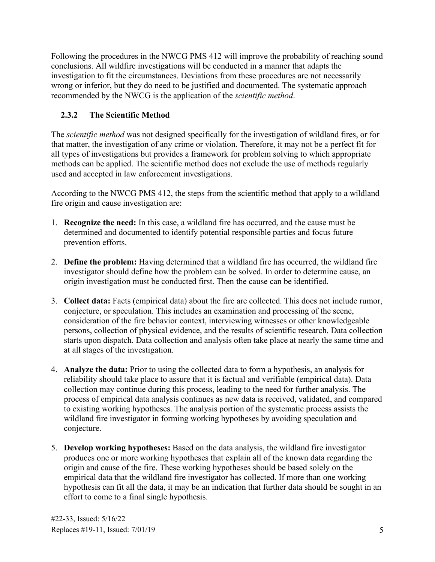conclusions. All wildfire investigations will be conducted in a manner that adapts the Following the procedures in the NWCG PMS 412 will improve the probability of reaching sound investigation to fit the circumstances. Deviations from these procedures are not necessarily wrong or inferior, but they do need to be justified and documented. The systematic approach recommended by the NWCG is the application of the *scientific method*.

#### <span id="page-9-0"></span>**2.3.2 The Scientific Method**

The *scientific method* was not designed specifically for the investigation of wildland fires, or for that matter, the investigation of any crime or violation. Therefore, it may not be a perfect fit for all types of investigations but provides a framework for problem solving to which appropriate methods can be applied. The scientific method does not exclude the use of methods regularly used and accepted in law enforcement investigations.

According to the NWCG PMS 412, the steps from the scientific method that apply to a wildland fire origin and cause investigation are:

- 1. **Recognize the need:** In this case, a wildland fire has occurred, and the cause must be determined and documented to identify potential responsible parties and focus future prevention efforts.
- 2. **Define the problem:** Having determined that a wildland fire has occurred, the wildland fire investigator should define how the problem can be solved. In order to determine cause, an origin investigation must be conducted first. Then the cause can be identified.
- consideration of the fire behavior context, interviewing witnesses or other knowledgeable 3. **Collect data:** Facts (empirical data) about the fire are collected. This does not include rumor, conjecture, or speculation. This includes an examination and processing of the scene, persons, collection of physical evidence, and the results of scientific research. Data collection starts upon dispatch. Data collection and analysis often take place at nearly the same time and at all stages of the investigation.
- 4. **Analyze the data:** Prior to using the collected data to form a hypothesis, an analysis for reliability should take place to assure that it is factual and verifiable (empirical data). Data collection may continue during this process, leading to the need for further analysis. The process of empirical data analysis continues as new data is received, validated, and compared to existing working hypotheses. The analysis portion of the systematic process assists the wildland fire investigator in forming working hypotheses by avoiding speculation and conjecture.
- 5. **Develop working hypotheses:** Based on the data analysis, the wildland fire investigator produces one or more working hypotheses that explain all of the known data regarding the origin and cause of the fire. These working hypotheses should be based solely on the empirical data that the wildland fire investigator has collected. If more than one working hypothesis can fit all the data, it may be an indication that further data should be sought in an effort to come to a final single hypothesis.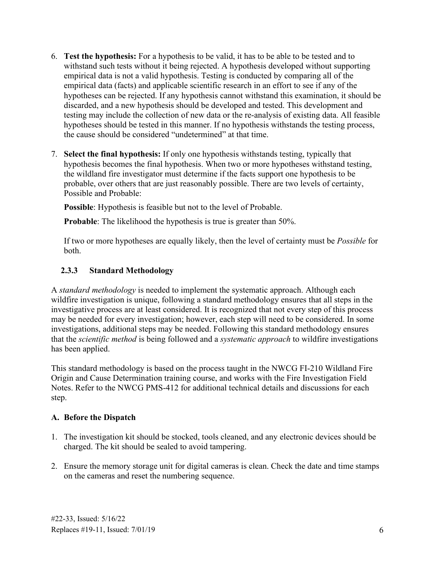- 6. **Test the hypothesis:** For a hypothesis to be valid, it has to be able to be tested and to withstand such tests without it being rejected. A hypothesis developed without supporting empirical data is not a valid hypothesis. Testing is conducted by comparing all of the empirical data (facts) and applicable scientific research in an effort to see if any of the hypotheses can be rejected. If any hypothesis cannot withstand this examination, it should be discarded, and a new hypothesis should be developed and tested. This development and testing may include the collection of new data or the re-analysis of existing data. All feasible hypotheses should be tested in this manner. If no hypothesis withstands the testing process, the cause should be considered "undetermined" at that time.
- 7. **Select the final hypothesis:** If only one hypothesis withstands testing, typically that hypothesis becomes the final hypothesis. When two or more hypotheses withstand testing, the wildland fire investigator must determine if the facts support one hypothesis to be probable, over others that are just reasonably possible. There are two levels of certainty, Possible and Probable:

**Possible**: Hypothesis is feasible but not to the level of Probable.

**Probable:** The likelihood the hypothesis is true is greater than 50%.

If two or more hypotheses are equally likely, then the level of certainty must be *Possible* for both.

#### <span id="page-10-0"></span>**2.3.3 Standard Methodology**

A *standard methodology* is needed to implement the systematic approach. Although each wildfire investigation is unique, following a standard methodology ensures that all steps in the investigative process are at least considered. It is recognized that not every step of this process may be needed for every investigation; however, each step will need to be considered. In some investigations, additional steps may be needed. Following this standard methodology ensures that the *scientific method* is being followed and a *systematic approach* to wildfire investigations has been applied.

This standard methodology is based on the process taught in the NWCG FI-210 Wildland Fire Origin and Cause Determination training course, and works with the Fire Investigation Field Notes. Refer to the NWCG PMS-412 for additional technical details and discussions for each step.

#### **A. Before the Dispatch**

- 1. The investigation kit should be stocked, tools cleaned, and any electronic devices should be charged. The kit should be sealed to avoid tampering.
- 2. Ensure the memory storage unit for digital cameras is clean. Check the date and time stamps on the cameras and reset the numbering sequence.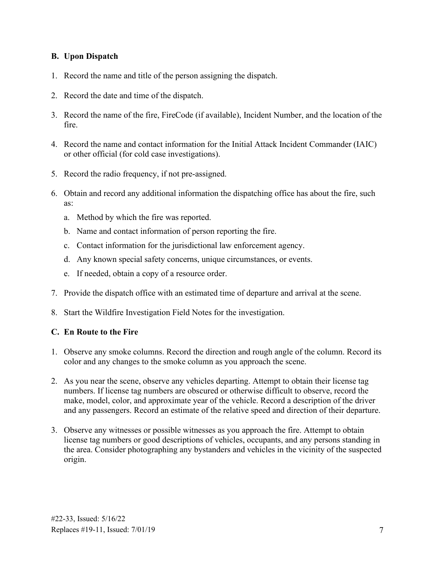#### **B. Upon Dispatch**

- 1. Record the name and title of the person assigning the dispatch.
- 2. Record the date and time of the dispatch.
- 3. Record the name of the fire, FireCode (if available), Incident Number, and the location of the fire.
- 4. Record the name and contact information for the Initial Attack Incident Commander (IAIC) or other official (for cold case investigations).
- 5. Record the radio frequency, if not pre-assigned.
- 6. Obtain and record any additional information the dispatching office has about the fire, such as:
	- a. Method by which the fire was reported.
	- b. Name and contact information of person reporting the fire.
	- c. Contact information for the jurisdictional law enforcement agency.
	- d. Any known special safety concerns, unique circumstances, or events.
	- e. If needed, obtain a copy of a resource order.
- 7. Provide the dispatch office with an estimated time of departure and arrival at the scene.
- 8. Start the Wildfire Investigation Field Notes for the investigation.

#### **C. En Route to the Fire**

- 1. Observe any smoke columns. Record the direction and rough angle of the column. Record its color and any changes to the smoke column as you approach the scene.
- 2. As you near the scene, observe any vehicles departing. Attempt to obtain their license tag numbers. If license tag numbers are obscured or otherwise difficult to observe, record the make, model, color, and approximate year of the vehicle. Record a description of the driver and any passengers. Record an estimate of the relative speed and direction of their departure.
- 3. Observe any witnesses or possible witnesses as you approach the fire. Attempt to obtain license tag numbers or good descriptions of vehicles, occupants, and any persons standing in the area. Consider photographing any bystanders and vehicles in the vicinity of the suspected origin.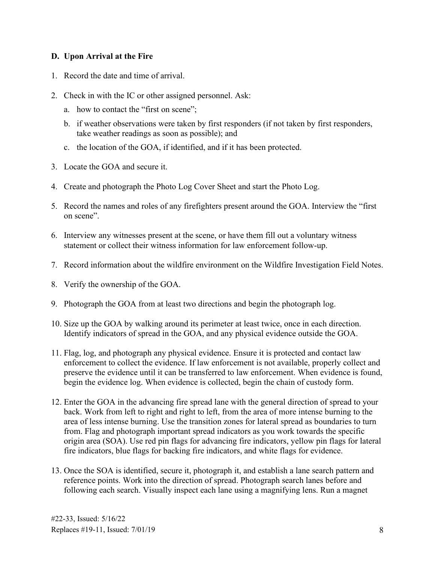#### **D. Upon Arrival at the Fire**

- 1. Record the date and time of arrival.
- 2. Check in with the IC or other assigned personnel. Ask:
	- a. how to contact the "first on scene";
	- b. if weather observations were taken by first responders (if not taken by first responders, take weather readings as soon as possible); and
	- c. the location of the GOA, if identified, and if it has been protected.
- 3. Locate the GOA and secure it.
- 4. Create and photograph the Photo Log Cover Sheet and start the Photo Log.
- 5. Record the names and roles of any firefighters present around the GOA. Interview the "first on scene".
- 6. Interview any witnesses present at the scene, or have them fill out a voluntary witness statement or collect their witness information for law enforcement follow-up.
- 7. Record information about the wildfire environment on the Wildfire Investigation Field Notes.
- 8. Verify the ownership of the GOA.
- 9. Photograph the GOA from at least two directions and begin the photograph log.
- 10. Size up the GOA by walking around its perimeter at least twice, once in each direction. Identify indicators of spread in the GOA, and any physical evidence outside the GOA.
- preserve the evidence until it can be transferred to law enforcement. When evidence is found, 11. Flag, log, and photograph any physical evidence. Ensure it is protected and contact law enforcement to collect the evidence. If law enforcement is not available, properly collect and begin the evidence log. When evidence is collected, begin the chain of custody form.
- 12. Enter the GOA in the advancing fire spread lane with the general direction of spread to your back. Work from left to right and right to left, from the area of more intense burning to the area of less intense burning. Use the transition zones for lateral spread as boundaries to turn from. Flag and photograph important spread indicators as you work towards the specific origin area (SOA). Use red pin flags for advancing fire indicators, yellow pin flags for lateral fire indicators, blue flags for backing fire indicators, and white flags for evidence.
- 13. Once the SOA is identified, secure it, photograph it, and establish a lane search pattern and reference points. Work into the direction of spread. Photograph search lanes before and following each search. Visually inspect each lane using a magnifying lens. Run a magnet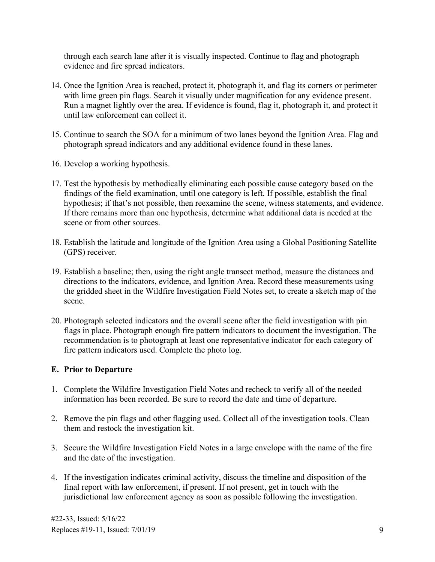through each search lane after it is visually inspected. Continue to flag and photograph evidence and fire spread indicators.

- 14. Once the Ignition Area is reached, protect it, photograph it, and flag its corners or perimeter with lime green pin flags. Search it visually under magnification for any evidence present. Run a magnet lightly over the area. If evidence is found, flag it, photograph it, and protect it until law enforcement can collect it.
- 15. Continue to search the SOA for a minimum of two lanes beyond the Ignition Area. Flag and photograph spread indicators and any additional evidence found in these lanes.
- 16. Develop a working hypothesis.
- 17. Test the hypothesis by methodically eliminating each possible cause category based on the findings of the field examination, until one category is left. If possible, establish the final hypothesis; if that's not possible, then reexamine the scene, witness statements, and evidence. If there remains more than one hypothesis, determine what additional data is needed at the scene or from other sources.
- 18. Establish the latitude and longitude of the Ignition Area using a Global Positioning Satellite (GPS) receiver.
- the gridded sheet in the Wildfire Investigation Field Notes set, to create a sketch map of the 19. Establish a baseline; then, using the right angle transect method, measure the distances and directions to the indicators, evidence, and Ignition Area. Record these measurements using scene.
- 20. Photograph selected indicators and the overall scene after the field investigation with pin flags in place. Photograph enough fire pattern indicators to document the investigation. The recommendation is to photograph at least one representative indicator for each category of fire pattern indicators used. Complete the photo log.

#### **E. Prior to Departure**

- 1. Complete the Wildfire Investigation Field Notes and recheck to verify all of the needed information has been recorded. Be sure to record the date and time of departure.
- 2. Remove the pin flags and other flagging used. Collect all of the investigation tools. Clean them and restock the investigation kit.
- 3. Secure the Wildfire Investigation Field Notes in a large envelope with the name of the fire and the date of the investigation.
- 4. If the investigation indicates criminal activity, discuss the timeline and disposition of the final report with law enforcement, if present. If not present, get in touch with the jurisdictional law enforcement agency as soon as possible following the investigation.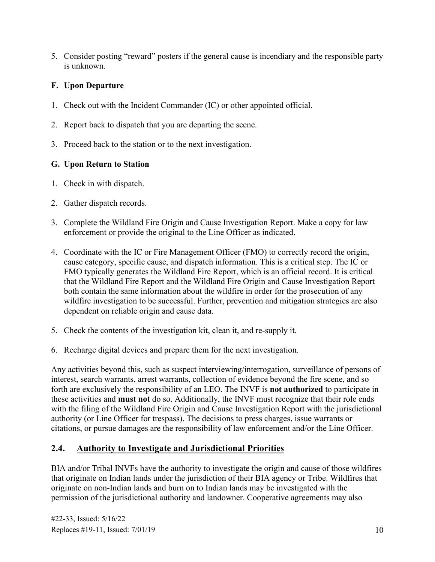5. Consider posting "reward" posters if the general cause is incendiary and the responsible party is unknown.

#### **F. Upon Departure**

- 1. Check out with the Incident Commander (IC) or other appointed official.
- 2. Report back to dispatch that you are departing the scene.
- 3. Proceed back to the station or to the next investigation.

#### **G. Upon Return to Station**

- 1. Check in with dispatch.
- 2. Gather dispatch records.
- enforcement or provide the original to the Line Officer as indicated. 3. Complete the Wildland Fire Origin and Cause Investigation Report. Make a copy for law
- 4. Coordinate with the IC or Fire Management Officer (FMO) to correctly record the origin, both contain the same information about the wildfire in order for the prosecution of any cause category, specific cause, and dispatch information. This is a critical step. The IC or FMO typically generates the Wildland Fire Report, which is an official record. It is critical that the Wildland Fire Report and the Wildland Fire Origin and Cause Investigation Report wildfire investigation to be successful. Further, prevention and mitigation strategies are also dependent on reliable origin and cause data.
- 5. Check the contents of the investigation kit, clean it, and re-supply it.
- 6. Recharge digital devices and prepare them for the next investigation.

 forth are exclusively the responsibility of an LEO. The INVF is **not authorized** to participate in Any activities beyond this, such as suspect interviewing/interrogation, surveillance of persons of interest, search warrants, arrest warrants, collection of evidence beyond the fire scene, and so these activities and **must not** do so. Additionally, the INVF must recognize that their role ends with the filing of the Wildland Fire Origin and Cause Investigation Report with the jurisdictional authority (or Line Officer for trespass). The decisions to press charges, issue warrants or citations, or pursue damages are the responsibility of law enforcement and/or the Line Officer.

## <span id="page-14-0"></span>**2.4. Authority to Investigate and Jurisdictional Priorities**

BIA and/or Tribal INVFs have the authority to investigate the origin and cause of those wildfires that originate on Indian lands under the jurisdiction of their BIA agency or Tribe. Wildfires that originate on non-Indian lands and burn on to Indian lands may be investigated with the permission of the jurisdictional authority and landowner. Cooperative agreements may also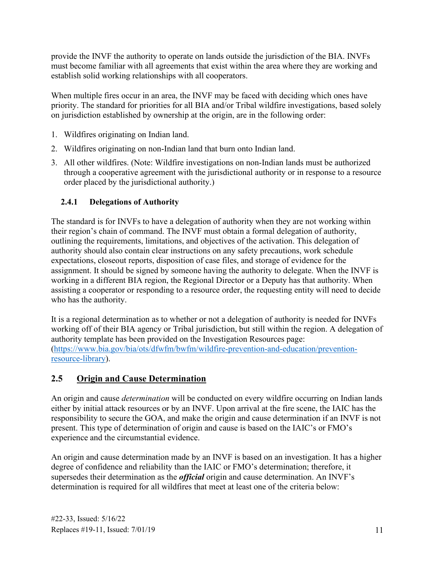provide the INVF the authority to operate on lands outside the jurisdiction of the BIA. INVFs must become familiar with all agreements that exist within the area where they are working and establish solid working relationships with all cooperators.

When multiple fires occur in an area, the INVF may be faced with deciding which ones have priority. The standard for priorities for all BIA and/or Tribal wildfire investigations, based solely on jurisdiction established by ownership at the origin, are in the following order:

- 1. Wildfires originating on Indian land.
- 2. Wildfires originating on non-Indian land that burn onto Indian land.
- 3. All other wildfires. (Note: Wildfire investigations on non-Indian lands must be authorized through a cooperative agreement with the jurisdictional authority or in response to a resource order placed by the jurisdictional authority.)

#### <span id="page-15-0"></span>**2.4.1 Delegations of Authority**

 assignment. It should be signed by someone having the authority to delegate. When the INVF is The standard is for INVFs to have a delegation of authority when they are not working within their region's chain of command. The INVF must obtain a formal delegation of authority, outlining the requirements, limitations, and objectives of the activation. This delegation of authority should also contain clear instructions on any safety precautions, work schedule expectations, closeout reports, disposition of case files, and storage of evidence for the working in a different BIA region, the Regional Director or a Deputy has that authority. When assisting a cooperator or responding to a resource order, the requesting entity will need to decide who has the authority.

 It is a regional determination as to whether or not a delegation of authority is needed for INVFs working off of their BIA agency or Tribal jurisdiction, but still within the region. A delegation of authority template has been provided on the Investigation Resources page: [\(https://www.bia.gov/bia/ots/dfwfm/bwfm/wildfire-prevention-and-education/prevention](https://www.bia.gov/bia/ots/dfwfm/bwfm/wildfire-prevention-and-education/prevention-resource-library)[resource-library\)](https://www.bia.gov/bia/ots/dfwfm/bwfm/wildfire-prevention-and-education/prevention-resource-library).

## <span id="page-15-1"></span>**2.5 Origin and Cause Determination**

 present. This type of determination of origin and cause is based on the IAIC's or FMO's An origin and cause *determination* will be conducted on every wildfire occurring on Indian lands either by initial attack resources or by an INVF. Upon arrival at the fire scene, the IAIC has the responsibility to secure the GOA, and make the origin and cause determination if an INVF is not experience and the circumstantial evidence.

 An origin and cause determination made by an INVF is based on an investigation. It has a higher degree of confidence and reliability than the IAIC or FMO's determination; therefore, it supersedes their determination as the *official* origin and cause determination. An INVF's determination is required for all wildfires that meet at least one of the criteria below: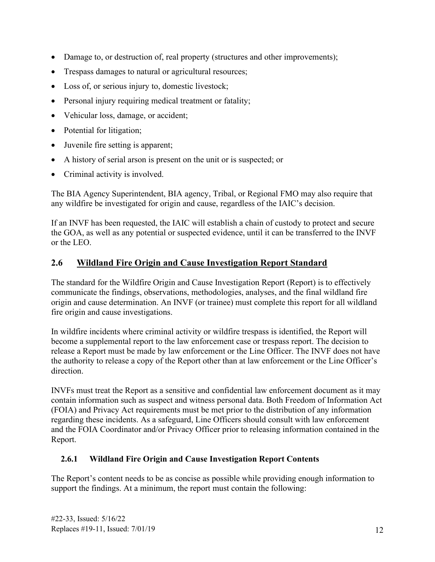- Damage to, or destruction of, real property (structures and other improvements);
- Trespass damages to natural or agricultural resources;
- Loss of, or serious injury to, domestic livestock;
- Personal injury requiring medical treatment or fatality;
- Vehicular loss, damage, or accident;
- Potential for litigation;
- Juvenile fire setting is apparent;
- A history of serial arson is present on the unit or is suspected; or
- Criminal activity is involved.

The BIA Agency Superintendent, BIA agency, Tribal, or Regional FMO may also require that any wildfire be investigated for origin and cause, regardless of the IAIC's decision.

 the GOA, as well as any potential or suspected evidence, until it can be transferred to the INVF If an INVF has been requested, the IAIC will establish a chain of custody to protect and secure or the LEO.

#### <span id="page-16-0"></span>**2.6 Wildland Fire Origin and Cause Investigation Report Standard**

The standard for the Wildfire Origin and Cause Investigation Report (Report) is to effectively communicate the findings, observations, methodologies, analyses, and the final wildland fire origin and cause determination. An INVF (or trainee) must complete this report for all wildland fire origin and cause investigations.

 release a Report must be made by law enforcement or the Line Officer. The INVF does not have In wildfire incidents where criminal activity or wildfire trespass is identified, the Report will become a supplemental report to the law enforcement case or trespass report. The decision to the authority to release a copy of the Report other than at law enforcement or the Line Officer's direction.

INVFs must treat the Report as a sensitive and confidential law enforcement document as it may contain information such as suspect and witness personal data. Both Freedom of Information Act (FOIA) and Privacy Act requirements must be met prior to the distribution of any information regarding these incidents. As a safeguard, Line Officers should consult with law enforcement and the FOIA Coordinator and/or Privacy Officer prior to releasing information contained in the Report.

#### <span id="page-16-1"></span>**2.6.1 Wildland Fire Origin and Cause Investigation Report Contents**

The Report's content needs to be as concise as possible while providing enough information to support the findings. At a minimum, the report must contain the following: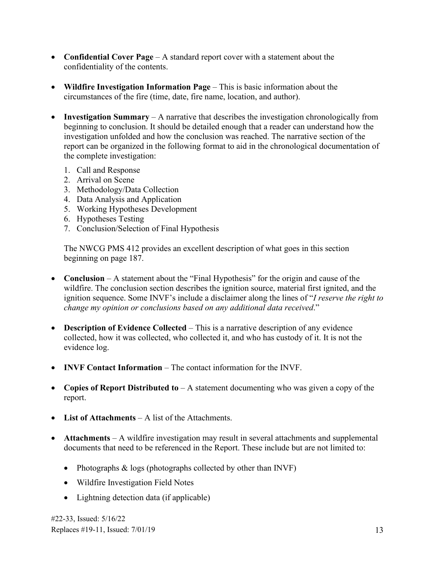- **Confidential Cover Page** A standard report cover with a statement about the confidentiality of the contents.
- **Wildfire Investigation Information Page** This is basic information about the circumstances of the fire (time, date, fire name, location, and author).
- **Investigation Summary** A narrative that describes the investigation chronologically from beginning to conclusion. It should be detailed enough that a reader can understand how the investigation unfolded and how the conclusion was reached. The narrative section of the report can be organized in the following format to aid in the chronological documentation of the complete investigation:
	- 1. Call and Response
	- 2. Arrival on Scene
	- 3. Methodology/Data Collection
	- 4. Data Analysis and Application
	- 5. Working Hypotheses Development
	- 6. Hypotheses Testing
	- 7. Conclusion/Selection of Final Hypothesis

The NWCG PMS 412 provides an excellent description of what goes in this section beginning on page 187.

- **Conclusion** A statement about the "Final Hypothesis" for the origin and cause of the wildfire. The conclusion section describes the ignition source, material first ignited, and the ignition sequence. Some INVF's include a disclaimer along the lines of "*I reserve the right to change my opinion or conclusions based on any additional data received*."
- **Description of Evidence Collected** This is a narrative description of any evidence collected, how it was collected, who collected it, and who has custody of it. It is not the evidence log.
- **INVF Contact Information** The contact information for the INVF.
- **Copies of Report Distributed to** A statement documenting who was given a copy of the report.
- **List of Attachments** A list of the Attachments.
- **Attachments**  A wildfire investigation may result in several attachments and supplemental documents that need to be referenced in the Report. These include but are not limited to:
	- Photographs & logs (photographs collected by other than INVF)
	- Wildfire Investigation Field Notes
	- Lightning detection data (if applicable)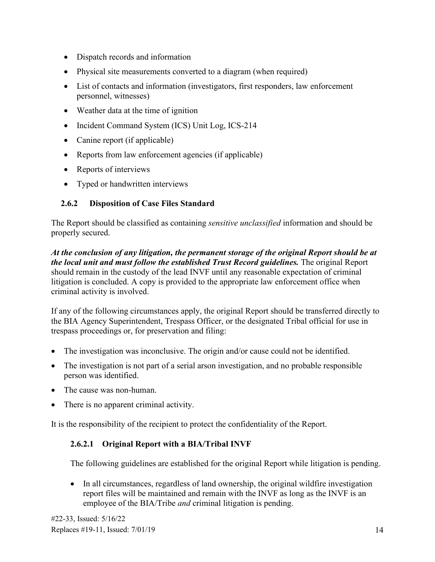- Dispatch records and information
- Physical site measurements converted to a diagram (when required)
- List of contacts and information (investigators, first responders, law enforcement personnel, witnesses)
- Weather data at the time of ignition
- Incident Command System (ICS) Unit Log, ICS-214
- Canine report (if applicable)
- Reports from law enforcement agencies (if applicable)
- Reports of interviews
- Typed or handwritten interviews

#### <span id="page-18-0"></span>**2.6.2 Disposition of Case Files Standard**

The Report should be classified as containing *sensitive unclassified* information and should be properly secured.

 *At the conclusion of any litigation, the permanent storage of the original Report should be at the local unit and must follow the established Trust Record guidelines.* The original Report should remain in the custody of the lead INVF until any reasonable expectation of criminal litigation is concluded. A copy is provided to the appropriate law enforcement office when criminal activity is involved.

 trespass proceedings or, for preservation and filing: If any of the following circumstances apply, the original Report should be transferred directly to the BIA Agency Superintendent, Trespass Officer, or the designated Tribal official for use in

- The investigation was inconclusive. The origin and/or cause could not be identified.
- The investigation is not part of a serial arson investigation, and no probable responsible person was identified.
- The cause was non-human.
- There is no apparent criminal activity.

<span id="page-18-1"></span>It is the responsibility of the recipient to protect the confidentiality of the Report.

#### **2.6.2.1 Original Report with a BIA/Tribal INVF**

The following guidelines are established for the original Report while litigation is pending.

 employee of the BIA/Tribe *and* criminal litigation is pending. • In all circumstances, regardless of land ownership, the original wildfire investigation report files will be maintained and remain with the INVF as long as the INVF is an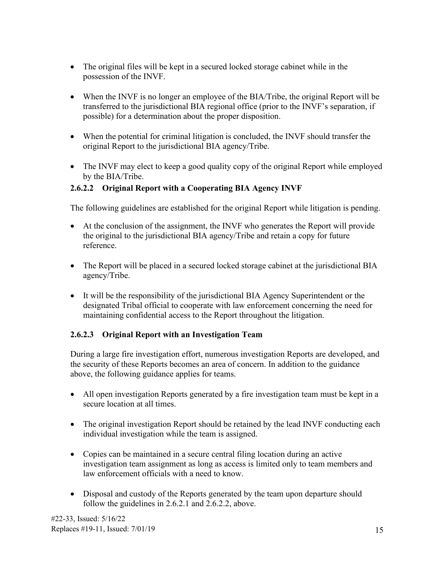- The original files will be kept in a secured locked storage cabinet while in the possession of the INVF.
- When the INVF is no longer an employee of the BIA/Tribe, the original Report will be transferred to the jurisdictional BIA regional office (prior to the INVF's separation, if possible) for a determination about the proper disposition.
- When the potential for criminal litigation is concluded, the INVF should transfer the original Report to the jurisdictional BIA agency/Tribe.
- The INVF may elect to keep a good quality copy of the original Report while employed by the BIA/Tribe.

#### <span id="page-19-0"></span>**2.6.2.2 Original Report with a Cooperating BIA Agency INVF**

The following guidelines are established for the original Report while litigation is pending.

- the original to the jurisdictional BIA agency/Tribe and retain a copy for future • At the conclusion of the assignment, the INVF who generates the Report will provide reference.
- The Report will be placed in a secured locked storage cabinet at the jurisdictional BIA agency/Tribe.
- It will be the responsibility of the jurisdictional BIA Agency Superintendent or the designated Tribal official to cooperate with law enforcement concerning the need for maintaining confidential access to the Report throughout the litigation.

#### <span id="page-19-1"></span>**2.6.2.3 Original Report with an Investigation Team**

 above, the following guidance applies for teams. During a large fire investigation effort, numerous investigation Reports are developed, and the security of these Reports becomes an area of concern. In addition to the guidance

- All open investigation Reports generated by a fire investigation team must be kept in a secure location at all times.
- The original investigation Report should be retained by the lead INVF conducting each individual investigation while the team is assigned.
- Copies can be maintained in a secure central filing location during an active investigation team assignment as long as access is limited only to team members and law enforcement officials with a need to know.
- Disposal and custody of the Reports generated by the team upon departure should follow the guidelines in 2.6.2.1 and 2.6.2.2, above.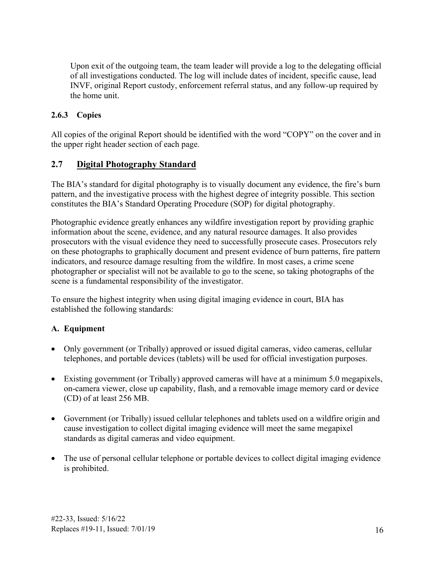Upon exit of the outgoing team, the team leader will provide a log to the delegating official of all investigations conducted. The log will include dates of incident, specific cause, lead INVF, original Report custody, enforcement referral status, and any follow-up required by the home unit.

#### <span id="page-20-0"></span>**2.6.3 Copies**

All copies of the original Report should be identified with the word "COPY" on the cover and in the upper right header section of each page.

#### <span id="page-20-1"></span>**2.7 Digital Photography Standard**

The BIA's standard for digital photography is to visually document any evidence, the fire's burn pattern, and the investigative process with the highest degree of integrity possible. This section constitutes the BIA's Standard Operating Procedure (SOP) for digital photography.

Photographic evidence greatly enhances any wildfire investigation report by providing graphic information about the scene, evidence, and any natural resource damages. It also provides prosecutors with the visual evidence they need to successfully prosecute cases. Prosecutors rely on these photographs to graphically document and present evidence of burn patterns, fire pattern indicators, and resource damage resulting from the wildfire. In most cases, a crime scene photographer or specialist will not be available to go to the scene, so taking photographs of the scene is a fundamental responsibility of the investigator.

To ensure the highest integrity when using digital imaging evidence in court, BIA has established the following standards:

#### **A. Equipment**

- Only government (or Tribally) approved or issued digital cameras, video cameras, cellular telephones, and portable devices (tablets) will be used for official investigation purposes.
- Existing government (or Tribally) approved cameras will have at a minimum 5.0 megapixels, on-camera viewer, close up capability, flash, and a removable image memory card or device (CD) of at least 256 MB.
- Government (or Tribally) issued cellular telephones and tablets used on a wildfire origin and cause investigation to collect digital imaging evidence will meet the same megapixel standards as digital cameras and video equipment.
- The use of personal cellular telephone or portable devices to collect digital imaging evidence is prohibited.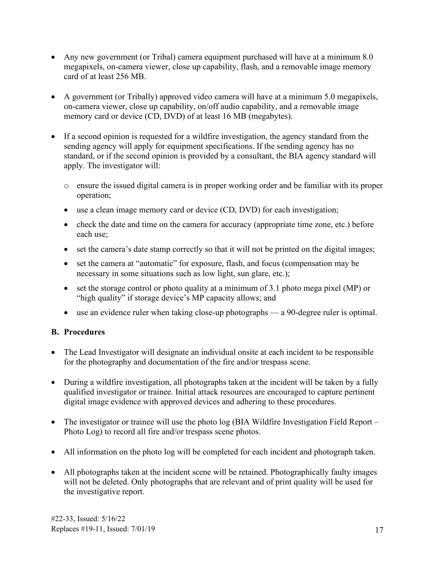- Any new government (or Tribal) camera equipment purchased will have at a minimum 8.0 megapixels, on-camera viewer, close up capability, flash, and a removable image memory card of at least 256 MB.
- A government (or Tribally) approved video camera will have at a minimum 5.0 megapixels, on-camera viewer, close up capability, on/off audio capability, and a removable image memory card or device (CD, DVD) of at least 16 MB (megabytes).
- If a second opinion is requested for a wildfire investigation, the agency standard from the sending agency will apply for equipment specifications. If the sending agency has no standard, or if the second opinion is provided by a consultant, the BIA agency standard will apply. The investigator will:
	- o ensure the issued digital camera is in proper working order and be familiar with its proper operation;
	- use a clean image memory card or device (CD, DVD) for each investigation;
	- check the date and time on the camera for accuracy (appropriate time zone, etc.) before each use;
	- set the camera's date stamp correctly so that it will not be printed on the digital images;
	- set the camera at "automatic" for exposure, flash, and focus (compensation may be necessary in some situations such as low light, sun glare, etc.);
	- set the storage control or photo quality at a minimum of 3.1 photo mega pixel (MP) or "high quality" if storage device's MP capacity allows; and
	- use an evidence ruler when taking close-up photographs a 90-degree ruler is optimal.

#### **B. Procedures**

- The Lead Investigator will designate an individual onsite at each incident to be responsible for the photography and documentation of the fire and/or trespass scene.
- During a wildfire investigation, all photographs taken at the incident will be taken by a fully qualified investigator or trainee. Initial attack resources are encouraged to capture pertinent digital image evidence with approved devices and adhering to these procedures.
- The investigator or trainee will use the photo log (BIA Wildfire Investigation Field Report Photo Log) to record all fire and/or trespass scene photos.
- All information on the photo log will be completed for each incident and photograph taken.
- • All photographs taken at the incident scene will be retained. Photographically faulty images will not be deleted. Only photographs that are relevant and of print quality will be used for the investigative report.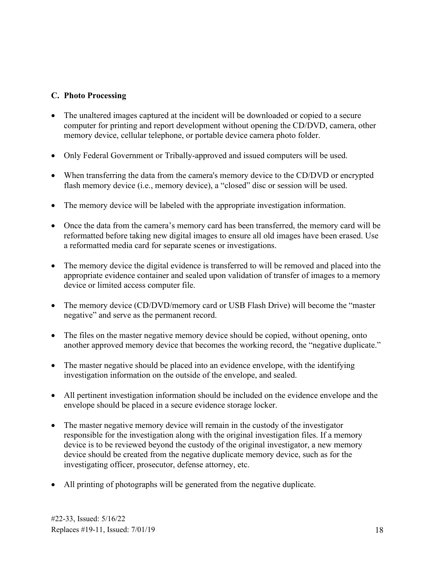#### **C. Photo Processing**

- The unaltered images captured at the incident will be downloaded or copied to a secure computer for printing and report development without opening the CD/DVD, camera, other memory device, cellular telephone, or portable device camera photo folder.
- Only Federal Government or Tribally-approved and issued computers will be used.
- When transferring the data from the camera's memory device to the CD/DVD or encrypted flash memory device (i.e., memory device), a "closed" disc or session will be used.
- The memory device will be labeled with the appropriate investigation information.
- Once the data from the camera's memory card has been transferred, the memory card will be reformatted before taking new digital images to ensure all old images have been erased. Use a reformatted media card for separate scenes or investigations.
- The memory device the digital evidence is transferred to will be removed and placed into the appropriate evidence container and sealed upon validation of transfer of images to a memory device or limited access computer file.
- The memory device (CD/DVD/memory card or USB Flash Drive) will become the "master" negative" and serve as the permanent record.
- The files on the master negative memory device should be copied, without opening, onto another approved memory device that becomes the working record, the "negative duplicate."
- • The master negative should be placed into an evidence envelope, with the identifying investigation information on the outside of the envelope, and sealed.
- All pertinent investigation information should be included on the evidence envelope and the envelope should be placed in a secure evidence storage locker.
- The master negative memory device will remain in the custody of the investigator responsible for the investigation along with the original investigation files. If a memory device is to be reviewed beyond the custody of the original investigator, a new memory device should be created from the negative duplicate memory device, such as for the investigating officer, prosecutor, defense attorney, etc.
- All printing of photographs will be generated from the negative duplicate.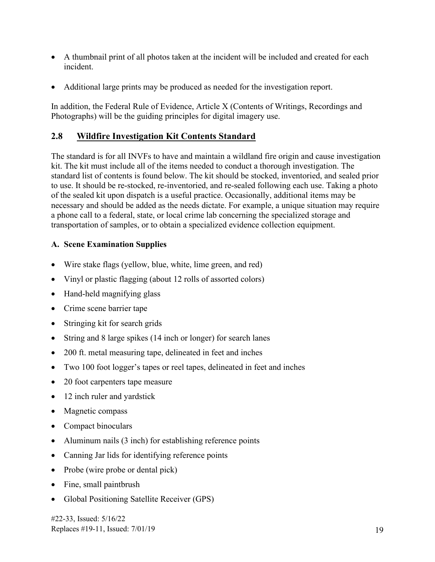- A thumbnail print of all photos taken at the incident will be included and created for each incident.
- Additional large prints may be produced as needed for the investigation report.

In addition, the Federal Rule of Evidence, Article X (Contents of Writings, Recordings and Photographs) will be the guiding principles for digital imagery use.

#### <span id="page-23-0"></span>**2.8 Wildfire Investigation Kit Contents Standard**

The standard is for all INVFs to have and maintain a wildland fire origin and cause investigation kit. The kit must include all of the items needed to conduct a thorough investigation. The standard list of contents is found below. The kit should be stocked, inventoried, and sealed prior to use. It should be re-stocked, re-inventoried, and re-sealed following each use. Taking a photo of the sealed kit upon dispatch is a useful practice. Occasionally, additional items may be necessary and should be added as the needs dictate. For example, a unique situation may require a phone call to a federal, state, or local crime lab concerning the specialized storage and transportation of samples, or to obtain a specialized evidence collection equipment.

#### **A. Scene Examination Supplies**

- Wire stake flags (yellow, blue, white, lime green, and red)
- Vinyl or plastic flagging (about 12 rolls of assorted colors)
- Hand-held magnifying glass
- Crime scene barrier tape
- Stringing kit for search grids
- String and 8 large spikes (14 inch or longer) for search lanes
- 200 ft. metal measuring tape, delineated in feet and inches
- Two 100 foot logger's tapes or reel tapes, delineated in feet and inches
- 20 foot carpenters tape measure
- 12 inch ruler and yardstick
- Magnetic compass
- Compact binoculars
- Aluminum nails (3 inch) for establishing reference points
- Canning Jar lids for identifying reference points
- Probe (wire probe or dental pick)
- Fine, small paintbrush
- Global Positioning Satellite Receiver (GPS)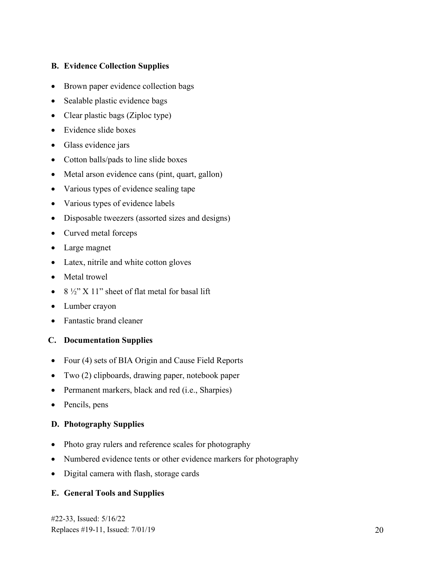#### **B. Evidence Collection Supplies**

- Brown paper evidence collection bags
- Sealable plastic evidence bags
- Clear plastic bags (Ziploc type)
- Evidence slide boxes
- Glass evidence jars
- Cotton balls/pads to line slide boxes
- Metal arson evidence cans (pint, quart, gallon)
- Various types of evidence sealing tape
- Various types of evidence labels
- Disposable tweezers (assorted sizes and designs)
- Curved metal forceps
- Large magnet
- Latex, nitrile and white cotton gloves
- Metal trowel
- 8  $\frac{1}{2}$  X 11" sheet of flat metal for basal lift
- Lumber crayon
- Fantastic brand cleaner

#### **C. Documentation Supplies**

- Four (4) sets of BIA Origin and Cause Field Reports
- Two (2) clipboards, drawing paper, notebook paper
- Permanent markers, black and red (i.e., Sharpies)
- Pencils, pens

#### **D. Photography Supplies**

- Photo gray rulers and reference scales for photography
- Numbered evidence tents or other evidence markers for photography
- Digital camera with flash, storage cards

#### **E. General Tools and Supplies**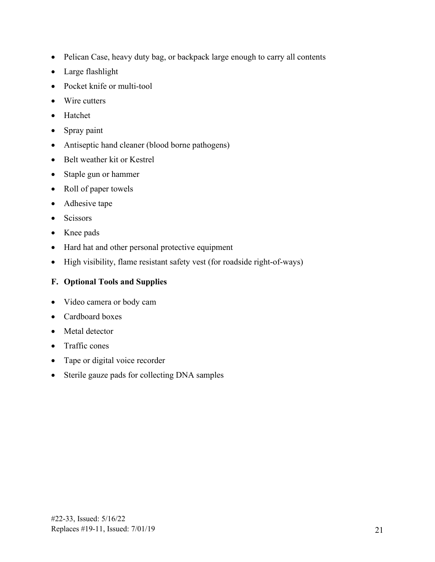- Pelican Case, heavy duty bag, or backpack large enough to carry all contents
- Large flashlight
- Pocket knife or multi-tool
- Wire cutters
- Hatchet
- Spray paint
- Antiseptic hand cleaner (blood borne pathogens)
- Belt weather kit or Kestrel
- Staple gun or hammer
- Roll of paper towels
- Adhesive tape
- Scissors
- Knee pads
- Hard hat and other personal protective equipment
- High visibility, flame resistant safety vest (for roadside right-of-ways)

#### **F. Optional Tools and Supplies**

- Video camera or body cam
- Cardboard boxes
- Metal detector
- Traffic cones
- Tape or digital voice recorder
- Sterile gauze pads for collecting DNA samples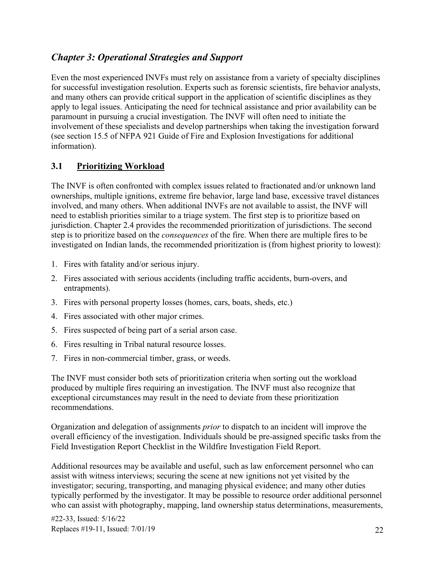## <span id="page-26-0"></span>*Chapter 3: Operational Strategies and Support*

 paramount in pursuing a crucial investigation. The INVF will often need to initiate the Even the most experienced INVFs must rely on assistance from a variety of specialty disciplines for successful investigation resolution. Experts such as forensic scientists, fire behavior analysts, and many others can provide critical support in the application of scientific disciplines as they apply to legal issues. Anticipating the need for technical assistance and prior availability can be involvement of these specialists and develop partnerships when taking the investigation forward (see section 15.5 of NFPA 921 Guide of Fire and Explosion Investigations for additional information).

#### <span id="page-26-1"></span>**3.1 Prioritizing Workload**

The INVF is often confronted with complex issues related to fractionated and/or unknown land ownerships, multiple ignitions, extreme fire behavior, large land base, excessive travel distances involved, and many others. When additional INVFs are not available to assist, the INVF will need to establish priorities similar to a triage system. The first step is to prioritize based on jurisdiction. Chapter 2.4 provides the recommended prioritization of jurisdictions. The second step is to prioritize based on the *consequences* of the fire. When there are multiple fires to be investigated on Indian lands, the recommended prioritization is (from highest priority to lowest):

- 1. Fires with fatality and/or serious injury.
- 2. Fires associated with serious accidents (including traffic accidents, burn-overs, and entrapments).
- 3. Fires with personal property losses (homes, cars, boats, sheds, etc.)
- 4. Fires associated with other major crimes.
- 5. Fires suspected of being part of a serial arson case.
- 6. Fires resulting in Tribal natural resource losses.
- 7. Fires in non-commercial timber, grass, or weeds.

The INVF must consider both sets of prioritization criteria when sorting out the workload produced by multiple fires requiring an investigation. The INVF must also recognize that exceptional circumstances may result in the need to deviate from these prioritization recommendations.

Organization and delegation of assignments *prior* to dispatch to an incident will improve the overall efficiency of the investigation. Individuals should be pre-assigned specific tasks from the Field Investigation Report Checklist in the Wildfire Investigation Field Report.

Additional resources may be available and useful, such as law enforcement personnel who can assist with witness interviews; securing the scene at new ignitions not yet visited by the investigator; securing, transporting, and managing physical evidence; and many other duties typically performed by the investigator. It may be possible to resource order additional personnel who can assist with photography, mapping, land ownership status determinations, measurements,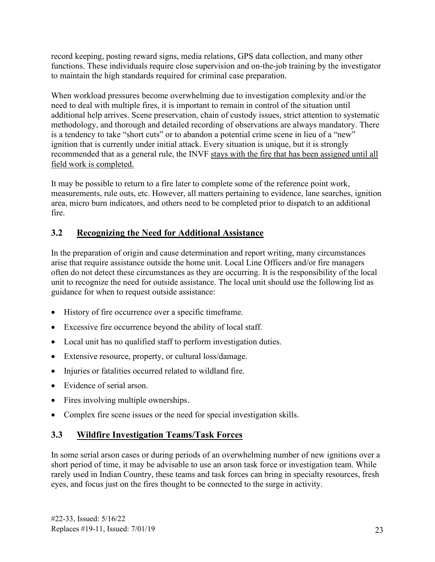record keeping, posting reward signs, media relations, GPS data collection, and many other functions. These individuals require close supervision and on-the-job training by the investigator to maintain the high standards required for criminal case preparation.

When workload pressures become overwhelming due to investigation complexity and/or the need to deal with multiple fires, it is important to remain in control of the situation until additional help arrives. Scene preservation, chain of custody issues, strict attention to systematic methodology, and thorough and detailed recording of observations are always mandatory. There is a tendency to take "short cuts" or to abandon a potential crime scene in lieu of a "new" ignition that is currently under initial attack. Every situation is unique, but it is strongly recommended that as a general rule, the INVF stays with the fire that has been assigned until all field work is completed.

It may be possible to return to a fire later to complete some of the reference point work, measurements, rule outs, etc. However, all matters pertaining to evidence, lane searches, ignition area, micro burn indicators, and others need to be completed prior to dispatch to an additional fire.

#### <span id="page-27-0"></span>**3.2 Recognizing the Need for Additional Assistance**

In the preparation of origin and cause determination and report writing, many circumstances arise that require assistance outside the home unit. Local Line Officers and/or fire managers often do not detect these circumstances as they are occurring. It is the responsibility of the local unit to recognize the need for outside assistance. The local unit should use the following list as guidance for when to request outside assistance:

- History of fire occurrence over a specific timeframe.
- Excessive fire occurrence beyond the ability of local staff.
- Local unit has no qualified staff to perform investigation duties.
- Extensive resource, property, or cultural loss/damage.
- Injuries or fatalities occurred related to wildland fire.
- Evidence of serial arson.
- Fires involving multiple ownerships.
- Complex fire scene issues or the need for special investigation skills.

## <span id="page-27-1"></span>**3.3 Wildfire Investigation Teams/Task Forces**

 rarely used in Indian Country, these teams and task forces can bring in specialty resources, fresh In some serial arson cases or during periods of an overwhelming number of new ignitions over a short period of time, it may be advisable to use an arson task force or investigation team. While eyes, and focus just on the fires thought to be connected to the surge in activity.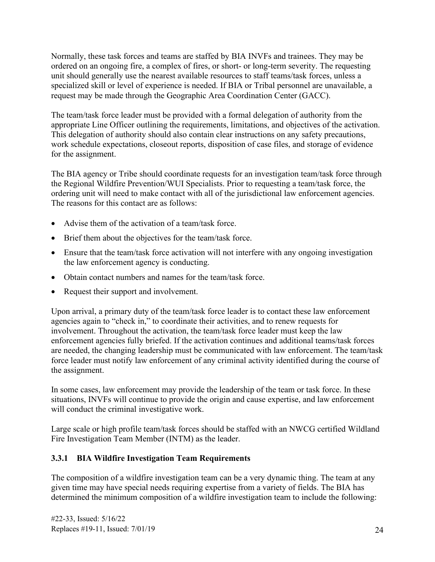Normally, these task forces and teams are staffed by BIA INVFs and trainees. They may be ordered on an ongoing fire, a complex of fires, or short- or long-term severity. The requesting unit should generally use the nearest available resources to staff teams/task forces, unless a specialized skill or level of experience is needed. If BIA or Tribal personnel are unavailable, a request may be made through the Geographic Area Coordination Center (GACC).

The team/task force leader must be provided with a formal delegation of authority from the appropriate Line Officer outlining the requirements, limitations, and objectives of the activation. This delegation of authority should also contain clear instructions on any safety precautions, work schedule expectations, closeout reports, disposition of case files, and storage of evidence for the assignment.

 The reasons for this contact are as follows: The BIA agency or Tribe should coordinate requests for an investigation team/task force through the Regional Wildfire Prevention/WUI Specialists. Prior to requesting a team/task force, the ordering unit will need to make contact with all of the jurisdictional law enforcement agencies.

- Advise them of the activation of a team/task force.
- Brief them about the objectives for the team/task force.
- Ensure that the team/task force activation will not interfere with any ongoing investigation the law enforcement agency is conducting.
- Obtain contact numbers and names for the team/task force.
- Request their support and involvement.

Upon arrival, a primary duty of the team/task force leader is to contact these law enforcement agencies again to "check in," to coordinate their activities, and to renew requests for involvement. Throughout the activation, the team/task force leader must keep the law enforcement agencies fully briefed. If the activation continues and additional teams/task forces are needed, the changing leadership must be communicated with law enforcement. The team/task force leader must notify law enforcement of any criminal activity identified during the course of the assignment.

 In some cases, law enforcement may provide the leadership of the team or task force. In these situations, INVFs will continue to provide the origin and cause expertise, and law enforcement will conduct the criminal investigative work.

 Large scale or high profile team/task forces should be staffed with an NWCG certified Wildland Fire Investigation Team Member (INTM) as the leader.

#### <span id="page-28-0"></span>**3.3.1 BIA Wildfire Investigation Team Requirements**

The composition of a wildfire investigation team can be a very dynamic thing. The team at any given time may have special needs requiring expertise from a variety of fields. The BIA has determined the minimum composition of a wildfire investigation team to include the following: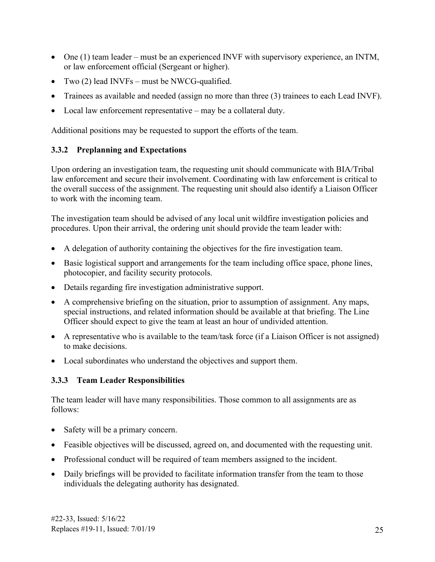- • One (1) team leader must be an experienced INVF with supervisory experience, an INTM, or law enforcement official (Sergeant or higher).
- Two (2) lead INVFs must be NWCG-qualified.
- Trainees as available and needed (assign no more than three (3) trainees to each Lead INVF).
- Local law enforcement representative may be a collateral duty.

Additional positions may be requested to support the efforts of the team.

#### <span id="page-29-0"></span>**3.3.2 Preplanning and Expectations**

Upon ordering an investigation team, the requesting unit should communicate with BIA/Tribal law enforcement and secure their involvement. Coordinating with law enforcement is critical to the overall success of the assignment. The requesting unit should also identify a Liaison Officer to work with the incoming team.

 procedures. Upon their arrival, the ordering unit should provide the team leader with: The investigation team should be advised of any local unit wildfire investigation policies and

- A delegation of authority containing the objectives for the fire investigation team.
- Basic logistical support and arrangements for the team including office space, phone lines, photocopier, and facility security protocols.
- Details regarding fire investigation administrative support.
- A comprehensive briefing on the situation, prior to assumption of assignment. Any maps, special instructions, and related information should be available at that briefing. The Line Officer should expect to give the team at least an hour of undivided attention.
- A representative who is available to the team/task force (if a Liaison Officer is not assigned) to make decisions.
- Local subordinates who understand the objectives and support them.

#### <span id="page-29-1"></span> **3.3.3 Team Leader Responsibilities**

 The team leader will have many responsibilities. Those common to all assignments are as follows:

- Safety will be a primary concern.
- Feasible objectives will be discussed, agreed on, and documented with the requesting unit.
- Professional conduct will be required of team members assigned to the incident.
- Daily briefings will be provided to facilitate information transfer from the team to those individuals the delegating authority has designated.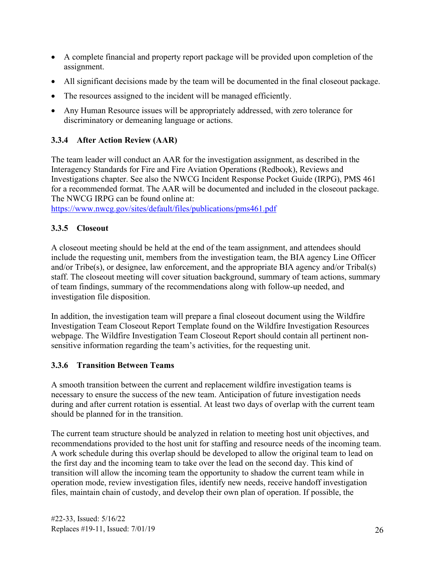- A complete financial and property report package will be provided upon completion of the assignment.
- All significant decisions made by the team will be documented in the final closeout package.
- The resources assigned to the incident will be managed efficiently.
- Any Human Resource issues will be appropriately addressed, with zero tolerance for discriminatory or demeaning language or actions.

#### <span id="page-30-0"></span>**3.3.4 After Action Review (AAR)**

 Interagency Standards for Fire and Fire Aviation Operations (Redbook), Reviews and The NWCG IRPG can be found online at: The team leader will conduct an AAR for the investigation assignment, as described in the Investigations chapter. See also the NWCG Incident Response Pocket Guide (IRPG), PMS 461 for a recommended format. The AAR will be documented and included in the closeout package.

<https://www.nwcg.gov/sites/default/files/publications/pms461.pdf>

#### <span id="page-30-1"></span>**3.3.5 Closeout**

A closeout meeting should be held at the end of the team assignment, and attendees should include the requesting unit, members from the investigation team, the BIA agency Line Officer and/or Tribe(s), or designee, law enforcement, and the appropriate BIA agency and/or Tribal(s) staff. The closeout meeting will cover situation background, summary of team actions, summary of team findings, summary of the recommendations along with follow-up needed, and investigation file disposition.

In addition, the investigation team will prepare a final closeout document using the Wildfire Investigation Team Closeout Report Template found on the Wildfire Investigation Resources webpage. The Wildfire Investigation Team Closeout Report should contain all pertinent nonsensitive information regarding the team's activities, for the requesting unit.

#### <span id="page-30-2"></span>**3.3.6 Transition Between Teams**

A smooth transition between the current and replacement wildfire investigation teams is necessary to ensure the success of the new team. Anticipation of future investigation needs during and after current rotation is essential. At least two days of overlap with the current team should be planned for in the transition.

The current team structure should be analyzed in relation to meeting host unit objectives, and recommendations provided to the host unit for staffing and resource needs of the incoming team. A work schedule during this overlap should be developed to allow the original team to lead on the first day and the incoming team to take over the lead on the second day. This kind of transition will allow the incoming team the opportunity to shadow the current team while in operation mode, review investigation files, identify new needs, receive handoff investigation files, maintain chain of custody, and develop their own plan of operation. If possible, the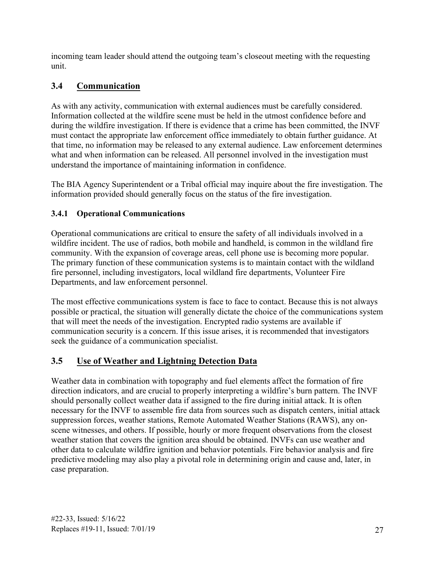incoming team leader should attend the outgoing team's closeout meeting with the requesting unit.

## <span id="page-31-0"></span>**3.4 Communication**

 that time, no information may be released to any external audience. Law enforcement determines As with any activity, communication with external audiences must be carefully considered. Information collected at the wildfire scene must be held in the utmost confidence before and during the wildfire investigation. If there is evidence that a crime has been committed, the INVF must contact the appropriate law enforcement office immediately to obtain further guidance. At what and when information can be released. All personnel involved in the investigation must understand the importance of maintaining information in confidence.

The BIA Agency Superintendent or a Tribal official may inquire about the fire investigation. The information provided should generally focus on the status of the fire investigation.

#### <span id="page-31-1"></span>**3.4.1 Operational Communications**

 Operational communications are critical to ensure the safety of all individuals involved in a wildfire incident. The use of radios, both mobile and handheld, is common in the wildland fire community. With the expansion of coverage areas, cell phone use is becoming more popular. The primary function of these communication systems is to maintain contact with the wildland fire personnel, including investigators, local wildland fire departments, Volunteer Fire Departments, and law enforcement personnel.

 that will meet the needs of the investigation. Encrypted radio systems are available if communication security is a concern. If this issue arises, it is recommended that investigators The most effective communications system is face to face to contact. Because this is not always possible or practical, the situation will generally dictate the choice of the communications system seek the guidance of a communication specialist.

## <span id="page-31-2"></span>**3.5 Use of Weather and Lightning Detection Data**

 direction indicators, and are crucial to properly interpreting a wildfire's burn pattern. The INVF Weather data in combination with topography and fuel elements affect the formation of fire should personally collect weather data if assigned to the fire during initial attack. It is often necessary for the INVF to assemble fire data from sources such as dispatch centers, initial attack suppression forces, weather stations, Remote Automated Weather Stations (RAWS), any onscene witnesses, and others. If possible, hourly or more frequent observations from the closest weather station that covers the ignition area should be obtained. INVFs can use weather and other data to calculate wildfire ignition and behavior potentials. Fire behavior analysis and fire predictive modeling may also play a pivotal role in determining origin and cause and, later, in case preparation.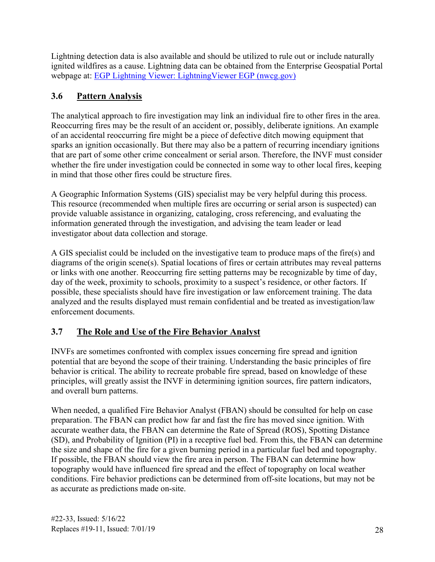Lightning detection data is also available and should be utilized to rule out or include naturally webpage at: **EGP Lightning Viewer: Lightning Viewer EGP (nwcg.gov)** ignited wildfires as a cause. Lightning data can be obtained from the Enterprise Geospatial Portal

## <span id="page-32-0"></span>**3.6 Pattern Analysis**

The analytical approach to fire investigation may link an individual fire to other fires in the area. Reoccurring fires may be the result of an accident or, possibly, deliberate ignitions. An example of an accidental reoccurring fire might be a piece of defective ditch mowing equipment that sparks an ignition occasionally. But there may also be a pattern of recurring incendiary ignitions that are part of some other crime concealment or serial arson. Therefore, the INVF must consider whether the fire under investigation could be connected in some way to other local fires, keeping in mind that those other fires could be structure fires.

A Geographic Information Systems (GIS) specialist may be very helpful during this process. This resource (recommended when multiple fires are occurring or serial arson is suspected) can provide valuable assistance in organizing, cataloging, cross referencing, and evaluating the information generated through the investigation, and advising the team leader or lead investigator about data collection and storage.

A GIS specialist could be included on the investigative team to produce maps of the fire(s) and diagrams of the origin scene(s). Spatial locations of fires or certain attributes may reveal patterns or links with one another. Reoccurring fire setting patterns may be recognizable by time of day, day of the week, proximity to schools, proximity to a suspect's residence, or other factors. If possible, these specialists should have fire investigation or law enforcement training. The data analyzed and the results displayed must remain confidential and be treated as investigation/law enforcement documents.

## <span id="page-32-1"></span>**3.7 The Role and Use of the Fire Behavior Analyst**

INVFs are sometimes confronted with complex issues concerning fire spread and ignition potential that are beyond the scope of their training. Understanding the basic principles of fire behavior is critical. The ability to recreate probable fire spread, based on knowledge of these principles, will greatly assist the INVF in determining ignition sources, fire pattern indicators, and overall burn patterns.

 preparation. The FBAN can predict how far and fast the fire has moved since ignition. With the size and shape of the fire for a given burning period in a particular fuel bed and topography. When needed, a qualified Fire Behavior Analyst (FBAN) should be consulted for help on case accurate weather data, the FBAN can determine the Rate of Spread (ROS), Spotting Distance (SD), and Probability of Ignition (PI) in a receptive fuel bed. From this, the FBAN can determine If possible, the FBAN should view the fire area in person. The FBAN can determine how topography would have influenced fire spread and the effect of topography on local weather conditions. Fire behavior predictions can be determined from off-site locations, but may not be as accurate as predictions made on-site.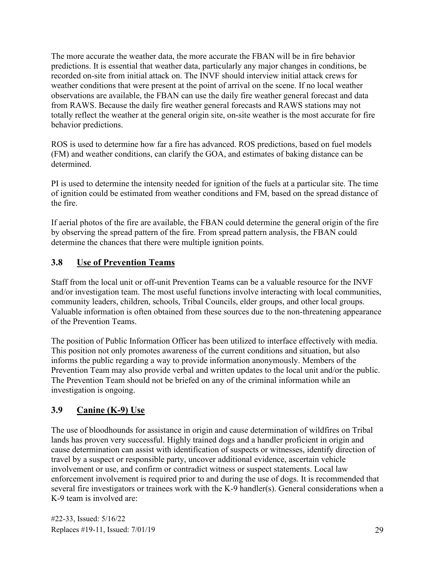recorded on-site from initial attack on. The INVF should interview initial attack crews for weather conditions that were present at the point of arrival on the scene. If no local weather The more accurate the weather data, the more accurate the FBAN will be in fire behavior predictions. It is essential that weather data, particularly any major changes in conditions, be observations are available, the FBAN can use the daily fire weather general forecast and data from RAWS. Because the daily fire weather general forecasts and RAWS stations may not totally reflect the weather at the general origin site, on-site weather is the most accurate for fire behavior predictions.

ROS is used to determine how far a fire has advanced. ROS predictions, based on fuel models (FM) and weather conditions, can clarify the GOA, and estimates of baking distance can be determined.

PI is used to determine the intensity needed for ignition of the fuels at a particular site. The time of ignition could be estimated from weather conditions and FM, based on the spread distance of the fire.

 If aerial photos of the fire are available, the FBAN could determine the general origin of the fire by observing the spread pattern of the fire. From spread pattern analysis, the FBAN could determine the chances that there were multiple ignition points.

#### <span id="page-33-0"></span> **3.8 Use of Prevention Teams**

Staff from the local unit or off-unit Prevention Teams can be a valuable resource for the INVF and/or investigation team. The most useful functions involve interacting with local communities, community leaders, children, schools, Tribal Councils, elder groups, and other local groups. Valuable information is often obtained from these sources due to the non-threatening appearance of the Prevention Teams.

 This position not only promotes awareness of the current conditions and situation, but also The position of Public Information Officer has been utilized to interface effectively with media. informs the public regarding a way to provide information anonymously. Members of the Prevention Team may also provide verbal and written updates to the local unit and/or the public. The Prevention Team should not be briefed on any of the criminal information while an investigation is ongoing.

#### <span id="page-33-1"></span>**3.9 Canine (K-9) Use**

The use of bloodhounds for assistance in origin and cause determination of wildfires on Tribal lands has proven very successful. Highly trained dogs and a handler proficient in origin and cause determination can assist with identification of suspects or witnesses, identify direction of travel by a suspect or responsible party, uncover additional evidence, ascertain vehicle involvement or use, and confirm or contradict witness or suspect statements. Local law enforcement involvement is required prior to and during the use of dogs. It is recommended that several fire investigators or trainees work with the K-9 handler(s). General considerations when a K-9 team is involved are: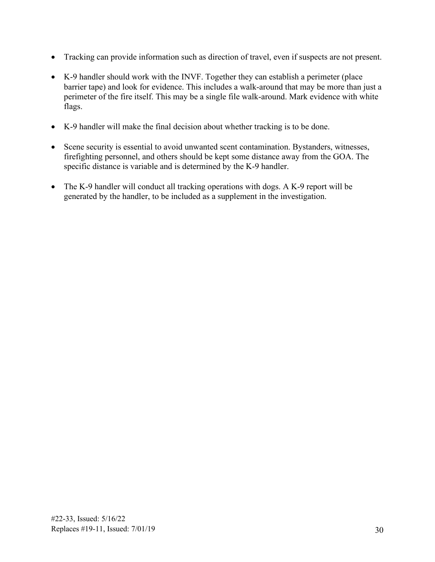- Tracking can provide information such as direction of travel, even if suspects are not present.
- barrier tape) and look for evidence. This includes a walk-around that may be more than just a • K-9 handler should work with the INVF. Together they can establish a perimeter (place perimeter of the fire itself. This may be a single file walk-around. Mark evidence with white flags.
- K-9 handler will make the final decision about whether tracking is to be done.
- Scene security is essential to avoid unwanted scent contamination. Bystanders, witnesses, firefighting personnel, and others should be kept some distance away from the GOA. The specific distance is variable and is determined by the K-9 handler.
- The K-9 handler will conduct all tracking operations with dogs. A K-9 report will be generated by the handler, to be included as a supplement in the investigation.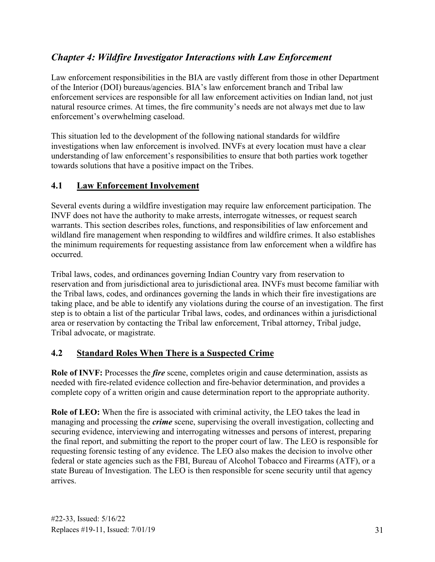## <span id="page-35-0"></span>*Chapter 4: Wildfire Investigator Interactions with Law Enforcement*

 of the Interior (DOI) bureaus/agencies. BIA's law enforcement branch and Tribal law natural resource crimes. At times, the fire community's needs are not always met due to law Law enforcement responsibilities in the BIA are vastly different from those in other Department enforcement services are responsible for all law enforcement activities on Indian land, not just enforcement's overwhelming caseload.

This situation led to the development of the following national standards for wildfire investigations when law enforcement is involved. INVFs at every location must have a clear understanding of law enforcement's responsibilities to ensure that both parties work together towards solutions that have a positive impact on the Tribes.

#### <span id="page-35-1"></span>**4.1 Law Enforcement Involvement**

Several events during a wildfire investigation may require law enforcement participation. The INVF does not have the authority to make arrests, interrogate witnesses, or request search warrants. This section describes roles, functions, and responsibilities of law enforcement and wildland fire management when responding to wildfires and wildfire crimes. It also establishes the minimum requirements for requesting assistance from law enforcement when a wildfire has occurred.

Tribal laws, codes, and ordinances governing Indian Country vary from reservation to reservation and from jurisdictional area to jurisdictional area. INVFs must become familiar with the Tribal laws, codes, and ordinances governing the lands in which their fire investigations are taking place, and be able to identify any violations during the course of an investigation. The first step is to obtain a list of the particular Tribal laws, codes, and ordinances within a jurisdictional area or reservation by contacting the Tribal law enforcement, Tribal attorney, Tribal judge, Tribal advocate, or magistrate.

#### <span id="page-35-2"></span>**4.2 Standard Roles When There is a Suspected Crime**

**Role of INVF:** Processes the *fire* scene, completes origin and cause determination, assists as needed with fire-related evidence collection and fire-behavior determination, and provides a complete copy of a written origin and cause determination report to the appropriate authority.

**Role of LEO:** When the fire is associated with criminal activity, the LEO takes the lead in managing and processing the *crime* scene, supervising the overall investigation, collecting and securing evidence, interviewing and interrogating witnesses and persons of interest, preparing the final report, and submitting the report to the proper court of law. The LEO is responsible for requesting forensic testing of any evidence. The LEO also makes the decision to involve other federal or state agencies such as the FBI, Bureau of Alcohol Tobacco and Firearms (ATF), or a state Bureau of Investigation. The LEO is then responsible for scene security until that agency arrives.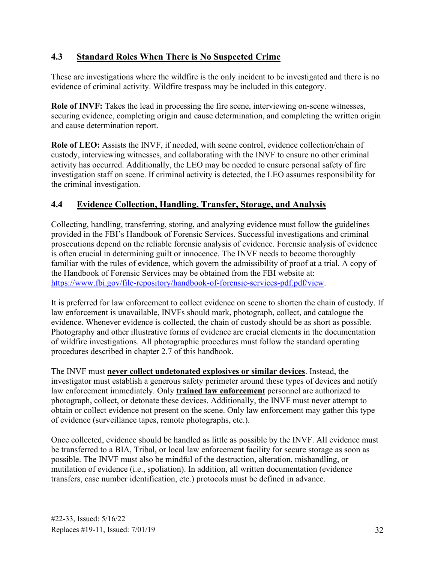#### <span id="page-36-0"></span>**4.3 Standard Roles When There is No Suspected Crime**

These are investigations where the wildfire is the only incident to be investigated and there is no evidence of criminal activity. Wildfire trespass may be included in this category.

**Role of INVF:** Takes the lead in processing the fire scene, interviewing on-scene witnesses, securing evidence, completing origin and cause determination, and completing the written origin and cause determination report.

 activity has occurred. Additionally, the LEO may be needed to ensure personal safety of fire **Role of LEO:** Assists the INVF, if needed, with scene control, evidence collection/chain of custody, interviewing witnesses, and collaborating with the INVF to ensure no other criminal investigation staff on scene. If criminal activity is detected, the LEO assumes responsibility for the criminal investigation.

#### <span id="page-36-1"></span>**4.4 Evidence Collection, Handling, Transfer, Storage, and Analysis**

 the Handbook of Forensic Services may be obtained from the FBI website at: Collecting, handling, transferring, storing, and analyzing evidence must follow the guidelines provided in the FBI's Handbook of Forensic Services. Successful investigations and criminal prosecutions depend on the reliable forensic analysis of evidence. Forensic analysis of evidence is often crucial in determining guilt or innocence. The INVF needs to become thoroughly familiar with the rules of evidence, which govern the admissibility of proof at a trial. A copy of [https://www.fbi.gov/file-repository/handbook-of-forensic-services-pdf.pdf/view.](https://www.fbi.gov/file-repository/handbook-of-forensic-services-pdf.pdf/view)

 It is preferred for law enforcement to collect evidence on scene to shorten the chain of custody. If law enforcement is unavailable, INVFs should mark, photograph, collect, and catalogue the evidence. Whenever evidence is collected, the chain of custody should be as short as possible. Photography and other illustrative forms of evidence are crucial elements in the documentation of wildfire investigations. All photographic procedures must follow the standard operating procedures described in chapter 2.7 of this handbook.

 The INVF must **never collect undetonated explosives or similar devices**. Instead, the investigator must establish a generous safety perimeter around these types of devices and notify law enforcement immediately. Only **trained law enforcement** personnel are authorized to photograph, collect, or detonate these devices. Additionally, the INVF must never attempt to obtain or collect evidence not present on the scene. Only law enforcement may gather this type of evidence (surveillance tapes, remote photographs, etc.).

 be transferred to a BIA, Tribal, or local law enforcement facility for secure storage as soon as possible. The INVF must also be mindful of the destruction, alteration, mishandling, or Once collected, evidence should be handled as little as possible by the INVF. All evidence must mutilation of evidence (i.e., spoliation). In addition, all written documentation (evidence transfers, case number identification, etc.) protocols must be defined in advance.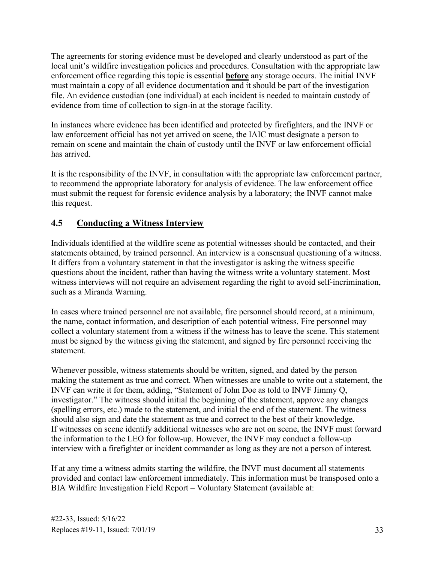The agreements for storing evidence must be developed and clearly understood as part of the local unit's wildfire investigation policies and procedures. Consultation with the appropriate law enforcement office regarding this topic is essential **before** any storage occurs. The initial INVF must maintain a copy of all evidence documentation and it should be part of the investigation file. An evidence custodian (one individual) at each incident is needed to maintain custody of evidence from time of collection to sign-in at the storage facility.

 In instances where evidence has been identified and protected by firefighters, and the INVF or law enforcement official has not yet arrived on scene, the IAIC must designate a person to remain on scene and maintain the chain of custody until the INVF or law enforcement official has arrived.

It is the responsibility of the INVF, in consultation with the appropriate law enforcement partner, to recommend the appropriate laboratory for analysis of evidence. The law enforcement office must submit the request for forensic evidence analysis by a laboratory; the INVF cannot make this request.

#### <span id="page-37-0"></span>**4.5 Conducting a Witness Interview**

Individuals identified at the wildfire scene as potential witnesses should be contacted, and their statements obtained, by trained personnel. An interview is a consensual questioning of a witness. It differs from a voluntary statement in that the investigator is asking the witness specific questions about the incident, rather than having the witness write a voluntary statement. Most witness interviews will not require an advisement regarding the right to avoid self-incrimination, such as a Miranda Warning.

In cases where trained personnel are not available, fire personnel should record, at a minimum, the name, contact information, and description of each potential witness. Fire personnel may collect a voluntary statement from a witness if the witness has to leave the scene. This statement must be signed by the witness giving the statement, and signed by fire personnel receiving the statement.

Whenever possible, witness statements should be written, signed, and dated by the person making the statement as true and correct. When witnesses are unable to write out a statement, the INVF can write it for them, adding, "Statement of John Doe as told to INVF Jimmy Q, investigator." The witness should initial the beginning of the statement, approve any changes (spelling errors, etc.) made to the statement, and initial the end of the statement. The witness should also sign and date the statement as true and correct to the best of their knowledge. If witnesses on scene identify additional witnesses who are not on scene, the INVF must forward the information to the LEO for follow-up. However, the INVF may conduct a follow-up interview with a firefighter or incident commander as long as they are not a person of interest.

 BIA Wildfire Investigation Field Report – Voluntary Statement (available at: If at any time a witness admits starting the wildfire, the INVF must document all statements provided and contact law enforcement immediately. This information must be transposed onto a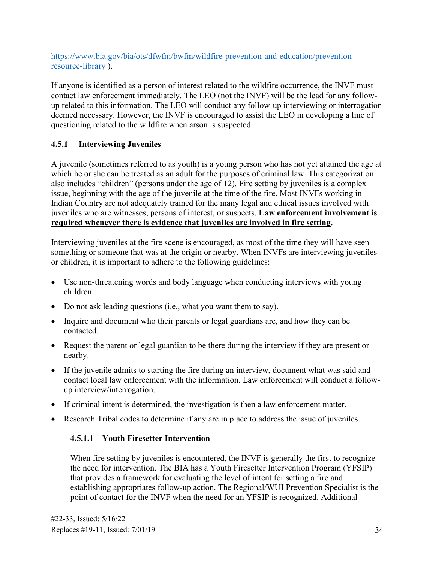resource-library). [https://www.bia.gov/bia/ots/dfwfm/bwfm/wildfire-prevention-and-education/prevention-](https://www.bia.gov/bia/ots/dfwfm/bwfm/wildfire-prevention-and-education/prevention-resource-library)

 If anyone is identified as a person of interest related to the wildfire occurrence, the INVF must contact law enforcement immediately. The LEO (not the INVF) will be the lead for any followup related to this information. The LEO will conduct any follow-up interviewing or interrogation deemed necessary. However, the INVF is encouraged to assist the LEO in developing a line of questioning related to the wildfire when arson is suspected.

## <span id="page-38-0"></span>**4.5.1 Interviewing Juveniles**

 also includes "children" (persons under the age of 12). Fire setting by juveniles is a complex A juvenile (sometimes referred to as youth) is a young person who has not yet attained the age at which he or she can be treated as an adult for the purposes of criminal law. This categorization issue, beginning with the age of the juvenile at the time of the fire. Most INVFs working in Indian Country are not adequately trained for the many legal and ethical issues involved with juveniles who are witnesses, persons of interest, or suspects. **Law enforcement involvement is required whenever there is evidence that juveniles are involved in fire setting.** 

Interviewing juveniles at the fire scene is encouraged, as most of the time they will have seen something or someone that was at the origin or nearby. When INVFs are interviewing juveniles or children, it is important to adhere to the following guidelines:

- Use non-threatening words and body language when conducting interviews with young children.
- Do not ask leading questions (i.e., what you want them to say).
- Inquire and document who their parents or legal guardians are, and how they can be contacted.
- Request the parent or legal guardian to be there during the interview if they are present or nearby.
- If the juvenile admits to starting the fire during an interview, document what was said and contact local law enforcement with the information. Law enforcement will conduct a followup interview/interrogation.
- If criminal intent is determined, the investigation is then a law enforcement matter.
- <span id="page-38-1"></span>• Research Tribal codes to determine if any are in place to address the issue of juveniles.

#### **4.5.1.1 Youth Firesetter Intervention**

When fire setting by juveniles is encountered, the INVF is generally the first to recognize the need for intervention. The BIA has a Youth Firesetter Intervention Program (YFSIP) that provides a framework for evaluating the level of intent for setting a fire and establishing appropriates follow-up action. The Regional/WUI Prevention Specialist is the point of contact for the INVF when the need for an YFSIP is recognized. Additional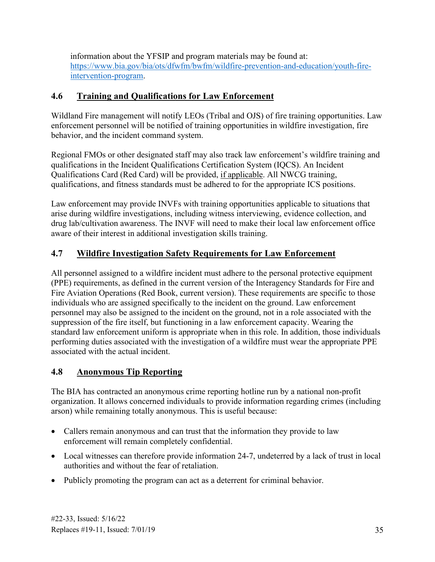information about the YFSIP and program materials may be found at: [https://www.bia.gov/bia/ots/dfwfm/bwfm/wildfire-prevention-and-education/youth-fire](https://www.bia.gov/bia/ots/dfwfm/bwfm/wildfire-prevention-and-education/youth-fire-intervention-program)[intervention-program.](https://www.bia.gov/bia/ots/dfwfm/bwfm/wildfire-prevention-and-education/youth-fire-intervention-program)

## <span id="page-39-0"></span>**4.6 Training and Qualifications for Law Enforcement**

Wildland Fire management will notify LEOs (Tribal and OJS) of fire training opportunities. Law enforcement personnel will be notified of training opportunities in wildfire investigation, fire behavior, and the incident command system.

Regional FMOs or other designated staff may also track law enforcement's wildfire training and qualifications in the Incident Qualifications Certification System (IQCS). An Incident Qualifications Card (Red Card) will be provided, if applicable. All NWCG training, qualifications, and fitness standards must be adhered to for the appropriate ICS positions.

 Law enforcement may provide INVFs with training opportunities applicable to situations that drug lab/cultivation awareness. The INVF will need to make their local law enforcement office arise during wildfire investigations, including witness interviewing, evidence collection, and aware of their interest in additional investigation skills training.

## <span id="page-39-1"></span>**4.7 Wildfire Investigation Safety Requirements for Law Enforcement**

All personnel assigned to a wildfire incident must adhere to the personal protective equipment (PPE) requirements, as defined in the current version of the Interagency Standards for Fire and Fire Aviation Operations (Red Book, current version). These requirements are specific to those individuals who are assigned specifically to the incident on the ground. Law enforcement personnel may also be assigned to the incident on the ground, not in a role associated with the suppression of the fire itself, but functioning in a law enforcement capacity. Wearing the standard law enforcement uniform is appropriate when in this role. In addition, those individuals performing duties associated with the investigation of a wildfire must wear the appropriate PPE associated with the actual incident.

#### <span id="page-39-2"></span>**4.8 Anonymous Tip Reporting**

The BIA has contracted an anonymous crime reporting hotline run by a national non-profit organization. It allows concerned individuals to provide information regarding crimes (including arson) while remaining totally anonymous. This is useful because:

- Callers remain anonymous and can trust that the information they provide to law enforcement will remain completely confidential.
- Local witnesses can therefore provide information 24-7, undeterred by a lack of trust in local authorities and without the fear of retaliation.
- Publicly promoting the program can act as a deterrent for criminal behavior.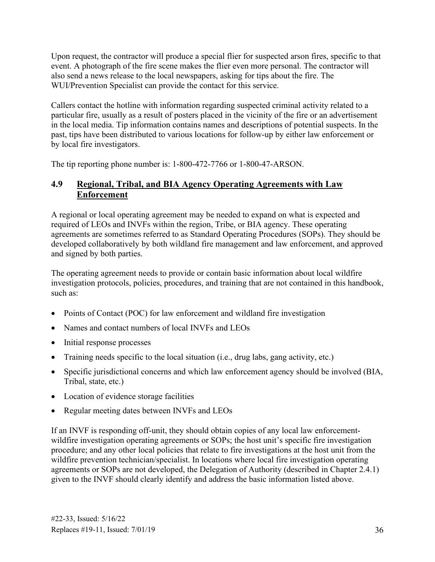also send a news release to the local newspapers, asking for tips about the fire. The Upon request, the contractor will produce a special flier for suspected arson fires, specific to that event. A photograph of the fire scene makes the flier even more personal. The contractor will WUI/Prevention Specialist can provide the contact for this service.

 particular fire, usually as a result of posters placed in the vicinity of the fire or an advertisement Callers contact the hotline with information regarding suspected criminal activity related to a in the local media. Tip information contains names and descriptions of potential suspects. In the past, tips have been distributed to various locations for follow-up by either law enforcement or by local fire investigators.

The tip reporting phone number is: 1-800-472-7766 or 1-800-47-ARSON.

#### <span id="page-40-0"></span>**4.9 Regional, Tribal, and BIA Agency Operating Agreements with Law Enforcement**

A regional or local operating agreement may be needed to expand on what is expected and required of LEOs and INVFs within the region, Tribe, or BIA agency. These operating agreements are sometimes referred to as Standard Operating Procedures (SOPs). They should be developed collaboratively by both wildland fire management and law enforcement, and approved and signed by both parties.

The operating agreement needs to provide or contain basic information about local wildfire investigation protocols, policies, procedures, and training that are not contained in this handbook, such as:

- Points of Contact (POC) for law enforcement and wildland fire investigation
- Names and contact numbers of local INVFs and LEOs
- Initial response processes
- Training needs specific to the local situation (i.e., drug labs, gang activity, etc.)
- Specific jurisdictional concerns and which law enforcement agency should be involved (BIA, Tribal, state, etc.)
- Location of evidence storage facilities
- Regular meeting dates between INVFs and LEOs

If an INVF is responding off-unit, they should obtain copies of any local law enforcementwildfire investigation operating agreements or SOPs; the host unit's specific fire investigation procedure; and any other local policies that relate to fire investigations at the host unit from the wildfire prevention technician/specialist. In locations where local fire investigation operating agreements or SOPs are not developed, the Delegation of Authority (described in Chapter 2.4.1) given to the INVF should clearly identify and address the basic information listed above.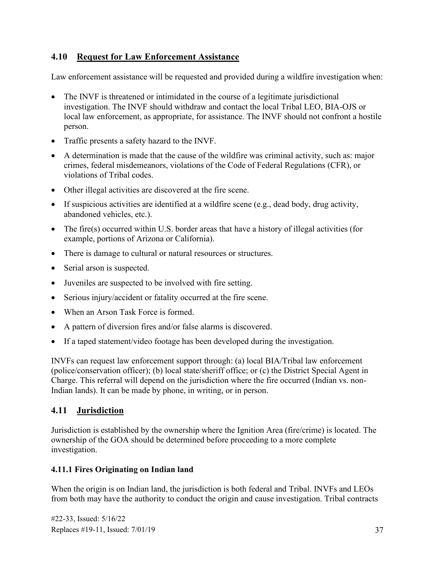#### <span id="page-41-0"></span>**4.10 Request for Law Enforcement Assistance**

Law enforcement assistance will be requested and provided during a wildfire investigation when:

- The INVF is threatened or intimidated in the course of a legitimate jurisdictional investigation. The INVF should withdraw and contact the local Tribal LEO, BIA-OJS or local law enforcement, as appropriate, for assistance. The INVF should not confront a hostile person.
- Traffic presents a safety hazard to the INVF.
- A determination is made that the cause of the wildfire was criminal activity, such as: major crimes, federal misdemeanors, violations of the Code of Federal Regulations (CFR), or violations of Tribal codes.
- Other illegal activities are discovered at the fire scene.
- If suspicious activities are identified at a wildfire scene (e.g., dead body, drug activity, abandoned vehicles, etc.).
- The fire(s) occurred within U.S. border areas that have a history of illegal activities (for example, portions of Arizona or California).
- There is damage to cultural or natural resources or structures.
- Serial arson is suspected.
- Juveniles are suspected to be involved with fire setting.
- Serious injury/accident or fatality occurred at the fire scene.
- When an Arson Task Force is formed.
- A pattern of diversion fires and/or false alarms is discovered.
- If a taped statement/video footage has been developed during the investigation.

INVFs can request law enforcement support through: (a) local BIA/Tribal law enforcement (police/conservation officer); (b) local state/sheriff office; or (c) the District Special Agent in Charge. This referral will depend on the jurisdiction where the fire occurred (Indian vs. non-Indian lands). It can be made by phone, in writing, or in person.

#### <span id="page-41-1"></span>**4.11 Jurisdiction**

Jurisdiction is established by the ownership where the Ignition Area (fire/crime) is located. The ownership of the GOA should be determined before proceeding to a more complete investigation.

#### <span id="page-41-2"></span> **4.11.1 Fires Originating on Indian land**

When the origin is on Indian land, the jurisdiction is both federal and Tribal. INVFs and LEOs from both may have the authority to conduct the origin and cause investigation. Tribal contracts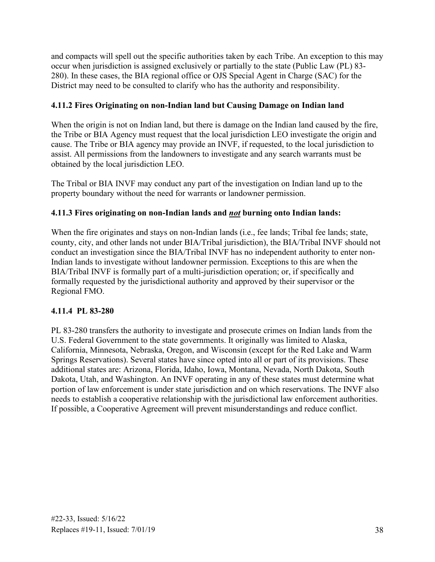280). In these cases, the BIA regional office or OJS Special Agent in Charge (SAC) for the and compacts will spell out the specific authorities taken by each Tribe. An exception to this may occur when jurisdiction is assigned exclusively or partially to the state (Public Law (PL) 83- District may need to be consulted to clarify who has the authority and responsibility.

#### <span id="page-42-0"></span> **4.11.2 Fires Originating on non-Indian land but Causing Damage on Indian land**

When the origin is not on Indian land, but there is damage on the Indian land caused by the fire, the Tribe or BIA Agency must request that the local jurisdiction LEO investigate the origin and cause. The Tribe or BIA agency may provide an INVF, if requested, to the local jurisdiction to assist. All permissions from the landowners to investigate and any search warrants must be obtained by the local jurisdiction LEO.

 The Tribal or BIA INVF may conduct any part of the investigation on Indian land up to the property boundary without the need for warrants or landowner permission.

#### <span id="page-42-1"></span> **4.11.3 Fires originating on non-Indian lands and** *not* **burning onto Indian lands:**

 When the fire originates and stays on non-Indian lands (i.e., fee lands; Tribal fee lands; state, conduct an investigation since the BIA/Tribal INVF has no independent authority to enter non- Regional FMO. county, city, and other lands not under BIA/Tribal jurisdiction), the BIA/Tribal INVF should not Indian lands to investigate without landowner permission. Exceptions to this are when the BIA/Tribal INVF is formally part of a multi-jurisdiction operation; or, if specifically and formally requested by the jurisdictional authority and approved by their supervisor or the

#### <span id="page-42-2"></span>**4.11.4 PL 83-280**

 California, Minnesota, Nebraska, Oregon, and Wisconsin (except for the Red Lake and Warm If possible, a Cooperative Agreement will prevent misunderstandings and reduce conflict. PL 83-280 transfers the authority to investigate and prosecute crimes on Indian lands from the U.S. Federal Government to the state governments. It originally was limited to Alaska, Springs Reservations). Several states have since opted into all or part of its provisions. These additional states are: Arizona, Florida, Idaho, Iowa, Montana, Nevada, North Dakota, South Dakota, Utah, and Washington. An INVF operating in any of these states must determine what portion of law enforcement is under state jurisdiction and on which reservations. The INVF also needs to establish a cooperative relationship with the jurisdictional law enforcement authorities.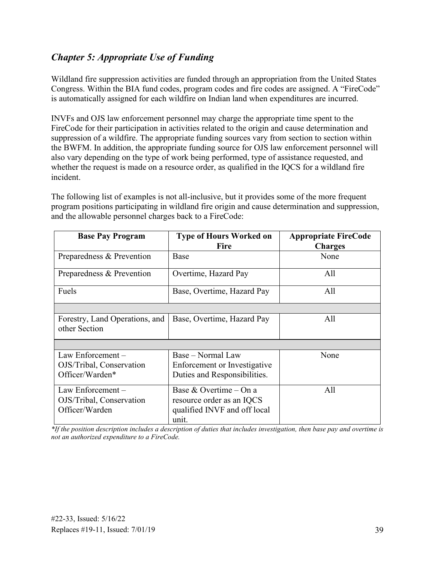## <span id="page-43-0"></span>*Chapter 5: Appropriate Use of Funding*

 Congress. Within the BIA fund codes, program codes and fire codes are assigned. A "FireCode" Wildland fire suppression activities are funded through an appropriation from the United States is automatically assigned for each wildfire on Indian land when expenditures are incurred.

INVFs and OJS law enforcement personnel may charge the appropriate time spent to the FireCode for their participation in activities related to the origin and cause determination and suppression of a wildfire. The appropriate funding sources vary from section to section within the BWFM. In addition, the appropriate funding source for OJS law enforcement personnel will also vary depending on the type of work being performed, type of assistance requested, and whether the request is made on a resource order, as qualified in the IQCS for a wildland fire incident.

The following list of examples is not all-inclusive, but it provides some of the more frequent program positions participating in wildland fire origin and cause determination and suppression, and the allowable personnel charges back to a FireCode:

| <b>Base Pay Program</b>                                         | <b>Type of Hours Worked on</b><br><b>Fire</b>                                                | <b>Appropriate FireCode</b><br><b>Charges</b> |
|-----------------------------------------------------------------|----------------------------------------------------------------------------------------------|-----------------------------------------------|
| Preparedness & Prevention                                       | Base                                                                                         | None                                          |
| Preparedness & Prevention                                       | Overtime, Hazard Pay                                                                         | All                                           |
| Fuels                                                           | Base, Overtime, Hazard Pay                                                                   | All                                           |
|                                                                 |                                                                                              |                                               |
| Forestry, Land Operations, and<br>other Section                 | Base, Overtime, Hazard Pay                                                                   | All                                           |
|                                                                 |                                                                                              |                                               |
| Law Enforcement-<br>OJS/Tribal, Conservation<br>Officer/Warden* | Base – Normal Law<br>Enforcement or Investigative<br>Duties and Responsibilities.            | None                                          |
| Law Enforcement-<br>OJS/Tribal, Conservation<br>Officer/Warden  | Base & Overtime – On a<br>resource order as an IQCS<br>qualified INVF and off local<br>unit. | All                                           |

 *\*If the position description includes a description of duties that includes investigation, then base pay and overtime is not an authorized expenditure to a FireCode.*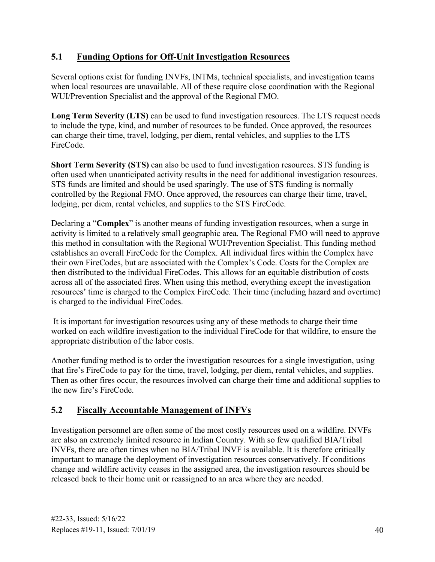#### <span id="page-44-0"></span>**5.1 Funding Options for Off-Unit Investigation Resources**

 when local resources are unavailable. All of these require close coordination with the Regional WUI/Prevention Specialist and the approval of the Regional FMO. Several options exist for funding INVFs, INTMs, technical specialists, and investigation teams

 to include the type, kind, and number of resources to be funded. Once approved, the resources **Long Term Severity (LTS)** can be used to fund investigation resources. The LTS request needs can charge their time, travel, lodging, per diem, rental vehicles, and supplies to the LTS FireCode.

**Short Term Severity (STS)** can also be used to fund investigation resources. STS funding is often used when unanticipated activity results in the need for additional investigation resources. STS funds are limited and should be used sparingly. The use of STS funding is normally controlled by the Regional FMO. Once approved, the resources can charge their time, travel, lodging, per diem, rental vehicles, and supplies to the STS FireCode.

 activity is limited to a relatively small geographic area. The Regional FMO will need to approve Declaring a "**Complex**" is another means of funding investigation resources, when a surge in this method in consultation with the Regional WUI/Prevention Specialist. This funding method establishes an overall FireCode for the Complex. All individual fires within the Complex have their own FireCodes, but are associated with the Complex's Code. Costs for the Complex are then distributed to the individual FireCodes. This allows for an equitable distribution of costs across all of the associated fires. When using this method, everything except the investigation resources' time is charged to the Complex FireCode. Their time (including hazard and overtime) is charged to the individual FireCodes.

 It is important for investigation resources using any of these methods to charge their time worked on each wildfire investigation to the individual FireCode for that wildfire, to ensure the appropriate distribution of the labor costs.

 Another funding method is to order the investigation resources for a single investigation, using that fire's FireCode to pay for the time, travel, lodging, per diem, rental vehicles, and supplies. Then as other fires occur, the resources involved can charge their time and additional supplies to the new fire's FireCode.

#### <span id="page-44-1"></span>**5.2 Fiscally Accountable Management of INFVs**

Investigation personnel are often some of the most costly resources used on a wildfire. INVFs are also an extremely limited resource in Indian Country. With so few qualified BIA/Tribal INVFs, there are often times when no BIA/Tribal INVF is available. It is therefore critically important to manage the deployment of investigation resources conservatively. If conditions change and wildfire activity ceases in the assigned area, the investigation resources should be released back to their home unit or reassigned to an area where they are needed.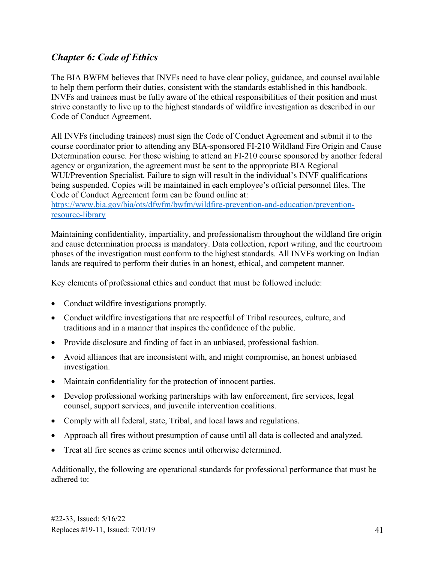## <span id="page-45-0"></span>*Chapter 6: Code of Ethics*

The BIA BWFM believes that INVFs need to have clear policy, guidance, and counsel available to help them perform their duties, consistent with the standards established in this handbook. INVFs and trainees must be fully aware of the ethical responsibilities of their position and must strive constantly to live up to the highest standards of wildfire investigation as described in our Code of Conduct Agreement.

All INVFs (including trainees) must sign the Code of Conduct Agreement and submit it to the course coordinator prior to attending any BIA-sponsored FI-210 Wildland Fire Origin and Cause Determination course. For those wishing to attend an FI-210 course sponsored by another federal agency or organization, the agreement must be sent to the appropriate BIA Regional WUI/Prevention Specialist. Failure to sign will result in the individual's INVF qualifications being suspended. Copies will be maintained in each employee's official personnel files. The Code of Conduct Agreement form can be found online at:

#### [https://www.bia.gov/bia/ots/dfwfm/bwfm/wildfire-prevention-and-education/prevention](https://www.bia.gov/bia/ots/dfwfm/bwfm/wildfire-prevention-and-education/prevention-resource-library)[resource-library](https://www.bia.gov/bia/ots/dfwfm/bwfm/wildfire-prevention-and-education/prevention-resource-library)

Maintaining confidentiality, impartiality, and professionalism throughout the wildland fire origin and cause determination process is mandatory. Data collection, report writing, and the courtroom phases of the investigation must conform to the highest standards. All INVFs working on Indian lands are required to perform their duties in an honest, ethical, and competent manner.

Key elements of professional ethics and conduct that must be followed include:

- Conduct wildfire investigations promptly.
- Conduct wildfire investigations that are respectful of Tribal resources, culture, and traditions and in a manner that inspires the confidence of the public.
- Provide disclosure and finding of fact in an unbiased, professional fashion.
- Avoid alliances that are inconsistent with, and might compromise, an honest unbiased investigation.
- Maintain confidentiality for the protection of innocent parties.
- Develop professional working partnerships with law enforcement, fire services, legal counsel, support services, and juvenile intervention coalitions.
- Comply with all federal, state, Tribal, and local laws and regulations.
- Approach all fires without presumption of cause until all data is collected and analyzed.
- Treat all fire scenes as crime scenes until otherwise determined.

adhered to: Additionally, the following are operational standards for professional performance that must be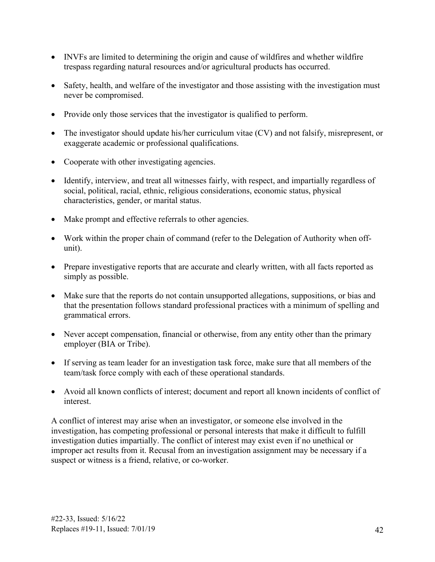- INVFs are limited to determining the origin and cause of wildfires and whether wildfire trespass regarding natural resources and/or agricultural products has occurred.
- Safety, health, and welfare of the investigator and those assisting with the investigation must never be compromised.
- Provide only those services that the investigator is qualified to perform.
- The investigator should update his/her curriculum vitae (CV) and not falsify, misrepresent, or exaggerate academic or professional qualifications.
- Cooperate with other investigating agencies.
- Identify, interview, and treat all witnesses fairly, with respect, and impartially regardless of social, political, racial, ethnic, religious considerations, economic status, physical characteristics, gender, or marital status.
- Make prompt and effective referrals to other agencies.
- Work within the proper chain of command (refer to the Delegation of Authority when offunit).
- Prepare investigative reports that are accurate and clearly written, with all facts reported as simply as possible.
- Make sure that the reports do not contain unsupported allegations, suppositions, or bias and that the presentation follows standard professional practices with a minimum of spelling and grammatical errors.
- Never accept compensation, financial or otherwise, from any entity other than the primary employer (BIA or Tribe).
- If serving as team leader for an investigation task force, make sure that all members of the team/task force comply with each of these operational standards.
- Avoid all known conflicts of interest; document and report all known incidents of conflict of interest.

A conflict of interest may arise when an investigator, or someone else involved in the investigation, has competing professional or personal interests that make it difficult to fulfill investigation duties impartially. The conflict of interest may exist even if no unethical or improper act results from it. Recusal from an investigation assignment may be necessary if a suspect or witness is a friend, relative, or co-worker.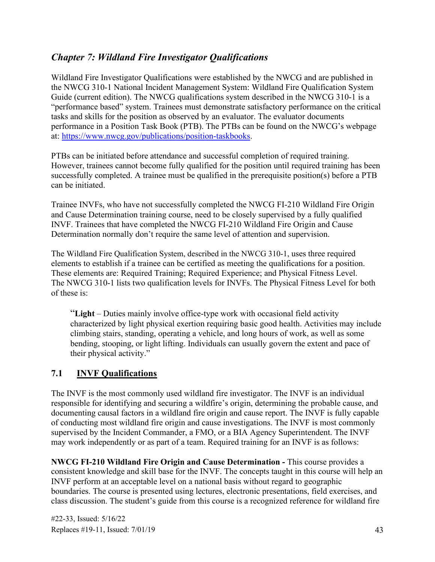## <span id="page-47-0"></span>*Chapter 7: Wildland Fire Investigator Qualifications*

 tasks and skills for the position as observed by an evaluator. The evaluator documents Wildland Fire Investigator Qualifications were established by the NWCG and are published in the NWCG 310-1 National Incident Management System: Wildland Fire Qualification System Guide (current edition). The NWCG qualifications system described in the NWCG 310-1 is a "performance based" system. Trainees must demonstrate satisfactory performance on the critical performance in a Position Task Book (PTB). The PTBs can be found on the NWCG's webpage at: [https://www.nwcg.gov/publications/position-taskbooks.](https://www.nwcg.gov/publications/position-taskbooks)

 successfully completed. A trainee must be qualified in the prerequisite position(s) before a PTB can be initiated. PTBs can be initiated before attendance and successful completion of required training. However, trainees cannot become fully qualified for the position until required training has been

Trainee INVFs, who have not successfully completed the NWCG FI-210 Wildland Fire Origin and Cause Determination training course, need to be closely supervised by a fully qualified INVF. Trainees that have completed the NWCG FI-210 Wildland Fire Origin and Cause Determination normally don't require the same level of attention and supervision.

The Wildland Fire Qualification System, described in the NWCG 310-1, uses three required elements to establish if a trainee can be certified as meeting the qualifications for a position. These elements are: Required Training; Required Experience; and Physical Fitness Level. The NWCG 310-1 lists two qualification levels for INVFs. The Physical Fitness Level for both of these is:

"**Light** – Duties mainly involve office-type work with occasional field activity characterized by light physical exertion requiring basic good health. Activities may include climbing stairs, standing, operating a vehicle, and long hours of work, as well as some bending, stooping, or light lifting. Individuals can usually govern the extent and pace of their physical activity."

#### <span id="page-47-1"></span>**7.1 INVF Qualifications**

 supervised by the Incident Commander, a FMO, or a BIA Agency Superintendent. The INVF may work independently or as part of a team. Required training for an INVF is as follows: The INVF is the most commonly used wildland fire investigator. The INVF is an individual responsible for identifying and securing a wildfire's origin, determining the probable cause, and documenting causal factors in a wildland fire origin and cause report. The INVF is fully capable of conducting most wildland fire origin and cause investigations. The INVF is most commonly

**NWCG FI-210 Wildland Fire Origin and Cause Determination -** This course provides a consistent knowledge and skill base for the INVF. The concepts taught in this course will help an INVF perform at an acceptable level on a national basis without regard to geographic boundaries. The course is presented using lectures, electronic presentations, field exercises, and class discussion. The student's guide from this course is a recognized reference for wildland fire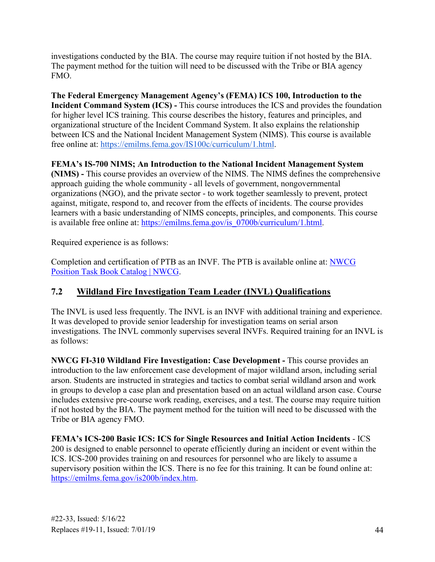investigations conducted by the BIA. The course may require tuition if not hosted by the BIA. The payment method for the tuition will need to be discussed with the Tribe or BIA agency FMO.

**The Federal Emergency Management Agency's (FEMA) ICS 100, Introduction to the Incident Command System (ICS) -** This course introduces the ICS and provides the foundation for higher level ICS training. This course describes the history, features and principles, and organizational structure of the Incident Command System. It also explains the relationship between ICS and the National Incident Management System (NIMS). This course is available free online at: [https://emilms.fema.gov/IS100c/curriculum/1.html.](https://emilms.fema.gov/IS100c/curriculum/1.html)

#### **FEMA's IS-700 NIMS; An Introduction to the National Incident Management System**

**(NIMS) -** This course provides an overview of the NIMS. The NIMS defines the comprehensive approach guiding the whole community - all levels of government, nongovernmental organizations (NGO), and the private sector - to work together seamlessly to prevent, protect against, mitigate, respond to, and recover from the effects of incidents. The course provides learners with a basic understanding of NIMS concepts, principles, and components. This course is available free online at: [https://emilms.fema.gov/is\\_0700b/curriculum/1.html.](https://emilms.fema.gov/is_0700b/curriculum/1.html)

Required experience is as follows:

Required experience is as follows:<br>Completion and certification of PTB as an INVF. The PTB is available online at: <u>NWCG</u> [Position Task Book Catalog | NWCG.](https://www.nwcg.gov/publications/position-taskbooks)

## <span id="page-48-0"></span>**7.2 Wildland Fire Investigation Team Leader (INVL) Qualifications**

 The INVL is used less frequently. The INVL is an INVF with additional training and experience. It was developed to provide senior leadership for investigation teams on serial arson investigations. The INVL commonly supervises several INVFs. Required training for an INVL is as follows:

**NWCG FI-310 Wildland Fire Investigation: Case Development -** This course provides an introduction to the law enforcement case development of major wildland arson, including serial arson. Students are instructed in strategies and tactics to combat serial wildland arson and work in groups to develop a case plan and presentation based on an actual wildland arson case. Course includes extensive pre-course work reading, exercises, and a test. The course may require tuition if not hosted by the BIA. The payment method for the tuition will need to be discussed with the Tribe or BIA agency FMO.

**FEMA's ICS-200 Basic ICS: ICS for Single Resources and Initial Action Incidents** - ICS 200 is designed to enable personnel to operate efficiently during an incident or event within the ICS. ICS-200 provides training on and resources for personnel who are likely to assume a supervisory position within the ICS. There is no fee for this training. It can be found online at: [https://emilms.fema.gov/is200b/index.htm.](https://emilms.fema.gov/is200b/index.htm)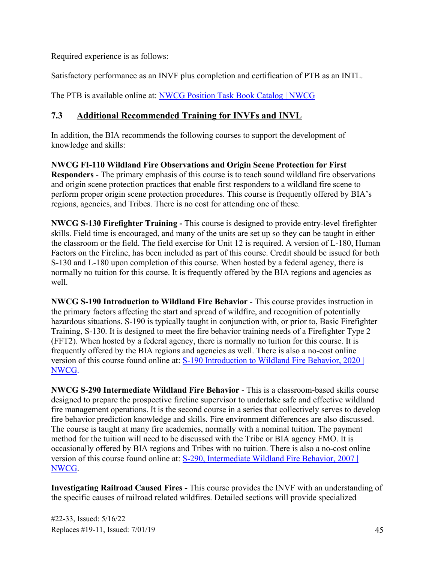Required experience is as follows:

Satisfactory performance as an INVF plus completion and certification of PTB as an INTL.

The PTB is available online at: **NWCG Position Task Book Catalog | NWCG** 

#### <span id="page-49-0"></span>**7.3 Additional Recommended Training for INVFs and INVL**

In addition, the BIA recommends the following courses to support the development of knowledge and skills:

**NWCG FI-110 Wildland Fire Observations and Origin Scene Protection for First Responders** - The primary emphasis of this course is to teach sound wildland fire observations and origin scene protection practices that enable first responders to a wildland fire scene to perform proper origin scene protection procedures. This course is frequently offered by BIA's regions, agencies, and Tribes. There is no cost for attending one of these.

**NWCG S-130 Firefighter Training -** This course is designed to provide entry-level firefighter skills. Field time is encouraged, and many of the units are set up so they can be taught in either the classroom or the field. The field exercise for Unit 12 is required. A version of L-180, Human Factors on the Fireline, has been included as part of this course. Credit should be issued for both S-130 and L-180 upon completion of this course. When hosted by a federal agency, there is normally no tuition for this course. It is frequently offered by the BIA regions and agencies as well.

 frequently offered by the BIA regions and agencies as well. There is also a no-cost online **NWCG S-190 Introduction to Wildland Fire Behavior** - This course provides instruction in the primary factors affecting the start and spread of wildfire, and recognition of potentially hazardous situations. S-190 is typically taught in conjunction with, or prior to, Basic Firefighter Training, S-130. It is designed to meet the fire behavior training needs of a Firefighter Type 2 (FFT2). When hosted by a federal agency, there is normally no tuition for this course. It is version of this course found online at: [S-190 Introduction to Wildland Fire Behavior, 2020 |](https://www.nwcg.gov/publications/training-courses/s-190/course-delivery)  [NWCG.](https://www.nwcg.gov/publications/training-courses/s-190/course-delivery)

 **NWCG S-290 Intermediate Wildland Fire Behavior** - This is a classroom-based skills course The course is taught at many fire academies, normally with a nominal tuition. The payment designed to prepare the prospective fireline supervisor to undertake safe and effective wildland fire management operations. It is the second course in a series that collectively serves to develop fire behavior prediction knowledge and skills. Fire environment differences are also discussed. method for the tuition will need to be discussed with the Tribe or BIA agency FMO. It is occasionally offered by BIA regions and Tribes with no tuition. There is also a no-cost online version of this course found online at: [S-290, Intermediate Wildland Fire Behavior, 2007 |](https://www.nwcg.gov/publications/training-courses/s-290/course-delivery)  [NWCG.](https://www.nwcg.gov/publications/training-courses/s-290/course-delivery)

**Investigating Railroad Caused Fires -** This course provides the INVF with an understanding of the specific causes of railroad related wildfires. Detailed sections will provide specialized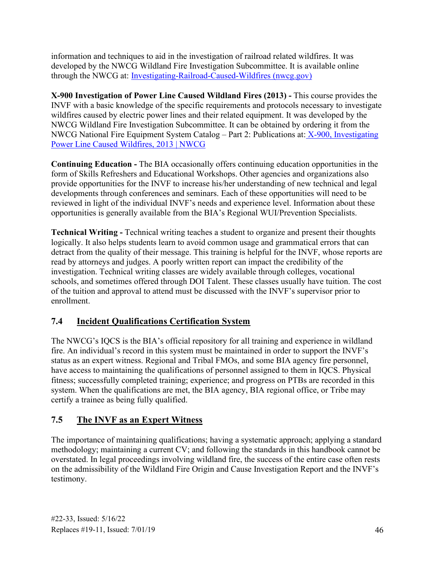information and techniques to aid in the investigation of railroad related wildfires. It was developed by the NWCG Wildland Fire Investigation Subcommittee. It is available online through the NWCG at: [Investigating-Railroad-Caused-Wildfires \(nwcg.gov\)](https://training.nwcg.gov/courses/IRCW/index.htm) 

 wildfires caused by electric power lines and their related equipment. It was developed by the **X-900 Investigation of Power Line Caused Wildland Fires (2013) -** This course provides the INVF with a basic knowledge of the specific requirements and protocols necessary to investigate NWCG Wildland Fire Investigation Subcommittee. It can be obtained by ordering it from the NWCG National Fire Equipment System Catalog – Part 2: Publications at: [X-900, Investigating](https://www.nwcg.gov/publications/training-courses/x-900)  [Power Line Caused Wildfires, 2013 | NWCG](https://www.nwcg.gov/publications/training-courses/x-900) 

 provide opportunities for the INVF to increase his/her understanding of new technical and legal **Continuing Education -** The BIA occasionally offers continuing education opportunities in the form of Skills Refreshers and Educational Workshops. Other agencies and organizations also developments through conferences and seminars. Each of these opportunities will need to be reviewed in light of the individual INVF's needs and experience level. Information about these opportunities is generally available from the BIA's Regional WUI/Prevention Specialists.

 detract from the quality of their message. This training is helpful for the INVF, whose reports are **Technical Writing -** Technical writing teaches a student to organize and present their thoughts logically. It also helps students learn to avoid common usage and grammatical errors that can read by attorneys and judges. A poorly written report can impact the credibility of the investigation. Technical writing classes are widely available through colleges, vocational schools, and sometimes offered through DOI Talent. These classes usually have tuition. The cost of the tuition and approval to attend must be discussed with the INVF's supervisor prior to enrollment.

## <span id="page-50-0"></span>**7.4 Incident Qualifications Certification System**

 fire. An individual's record in this system must be maintained in order to support the INVF's The NWCG's IQCS is the BIA's official repository for all training and experience in wildland status as an expert witness. Regional and Tribal FMOs, and some BIA agency fire personnel, have access to maintaining the qualifications of personnel assigned to them in IQCS. Physical fitness; successfully completed training; experience; and progress on PTBs are recorded in this system. When the qualifications are met, the BIA agency, BIA regional office, or Tribe may certify a trainee as being fully qualified.

#### <span id="page-50-1"></span>**7.5 The INVF as an Expert Witness**

 overstated. In legal proceedings involving wildland fire, the success of the entire case often rests on the admissibility of the Wildland Fire Origin and Cause Investigation Report and the INVF's The importance of maintaining qualifications; having a systematic approach; applying a standard methodology; maintaining a current CV; and following the standards in this handbook cannot be testimony.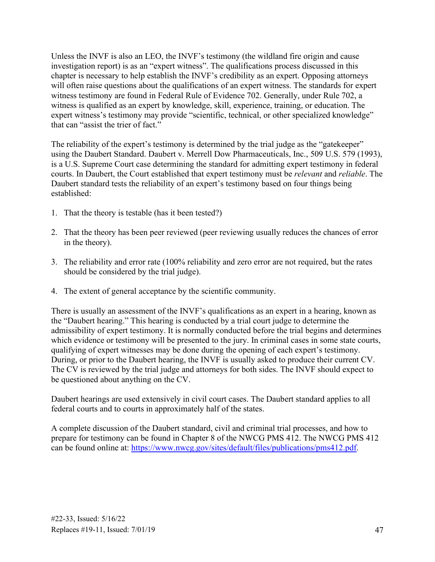that can "assist the trier of fact." Unless the INVF is also an LEO, the INVF's testimony (the wildland fire origin and cause investigation report) is as an "expert witness". The qualifications process discussed in this chapter is necessary to help establish the INVF's credibility as an expert. Opposing attorneys will often raise questions about the qualifications of an expert witness. The standards for expert witness testimony are found in Federal Rule of Evidence 702. Generally, under Rule 702, a witness is qualified as an expert by knowledge, skill, experience, training, or education. The expert witness's testimony may provide "scientific, technical, or other specialized knowledge"

The reliability of the expert's testimony is determined by the trial judge as the "gatekeeper" using the Daubert Standard. Daubert v. Merrell Dow Pharmaceuticals, Inc., 509 U.S. 579 (1993), is a U.S. Supreme Court case determining the standard for admitting expert testimony in federal courts. In Daubert, the Court established that expert testimony must be *relevant* and *reliable*. The Daubert standard tests the reliability of an expert's testimony based on four things being established:

- 1. That the theory is testable (has it been tested?)
- 2. That the theory has been peer reviewed (peer reviewing usually reduces the chances of error in the theory).
- 3. The reliability and error rate (100% reliability and zero error are not required, but the rates should be considered by the trial judge).
- 4. The extent of general acceptance by the scientific community.

 be questioned about anything on the CV. There is usually an assessment of the INVF's qualifications as an expert in a hearing, known as the "Daubert hearing." This hearing is conducted by a trial court judge to determine the admissibility of expert testimony. It is normally conducted before the trial begins and determines which evidence or testimony will be presented to the jury. In criminal cases in some state courts, qualifying of expert witnesses may be done during the opening of each expert's testimony. During, or prior to the Daubert hearing, the INVF is usually asked to produce their current CV. The CV is reviewed by the trial judge and attorneys for both sides. The INVF should expect to

Daubert hearings are used extensively in civil court cases. The Daubert standard applies to all federal courts and to courts in approximately half of the states.

 A complete discussion of the Daubert standard, civil and criminal trial processes, and how to prepare for testimony can be found in Chapter 8 of the NWCG PMS 412. The NWCG PMS 412 can be found online at: [https://www.nwcg.gov/sites/default/files/publications/pms412.pdf.](https://www.nwcg.gov/sites/default/files/publications/pms412.pdf)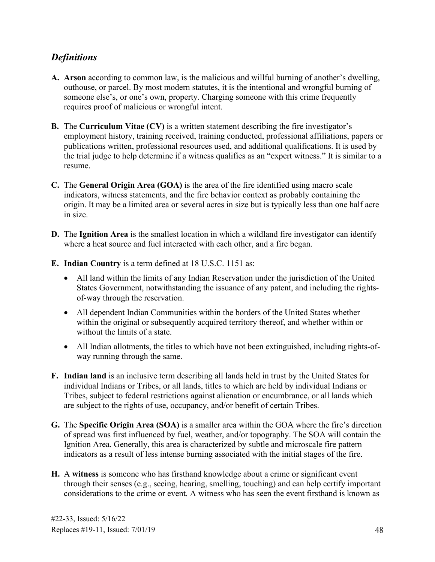## <span id="page-52-0"></span>*Definitions*

- **A. Arson** according to common law, is the malicious and willful burning of another's dwelling, outhouse, or parcel. By most modern statutes, it is the intentional and wrongful burning of someone else's, or one's own, property. Charging someone with this crime frequently requires proof of malicious or wrongful intent.
- **B.** The **Curriculum Vitae (CV)** is a written statement describing the fire investigator's employment history, training received, training conducted, professional affiliations, papers or publications written, professional resources used, and additional qualifications. It is used by the trial judge to help determine if a witness qualifies as an "expert witness." It is similar to a resume.
- **C.** The **General Origin Area (GOA)** is the area of the fire identified using macro scale indicators, witness statements, and the fire behavior context as probably containing the origin. It may be a limited area or several acres in size but is typically less than one half acre in size.
- where a heat source and fuel interacted with each other, and a fire began. **D.** The **Ignition Area** is the smallest location in which a wildland fire investigator can identify
- **E. Indian Country** is a term defined at 18 U.S.C. 1151 as:
	- All land within the limits of any Indian Reservation under the jurisdiction of the United States Government, notwithstanding the issuance of any patent, and including the rightsof-way through the reservation.
	- All dependent Indian Communities within the borders of the United States whether within the original or subsequently acquired territory thereof, and whether within or without the limits of a state.
	- All Indian allotments, the titles to which have not been extinguished, including rights-ofway running through the same.
- **F. Indian land** is an inclusive term describing all lands held in trust by the United States for individual Indians or Tribes, or all lands, titles to which are held by individual Indians or Tribes, subject to federal restrictions against alienation or encumbrance, or all lands which are subject to the rights of use, occupancy, and/or benefit of certain Tribes.
- **G.** The **Specific Origin Area (SOA)** is a smaller area within the GOA where the fire's direction of spread was first influenced by fuel, weather, and/or topography. The SOA will contain the Ignition Area. Generally, this area is characterized by subtle and microscale fire pattern indicators as a result of less intense burning associated with the initial stages of the fire.
- **H.** A **witness** is someone who has firsthand knowledge about a crime or significant event through their senses (e.g., seeing, hearing, smelling, touching) and can help certify important considerations to the crime or event. A witness who has seen the event firsthand is known as